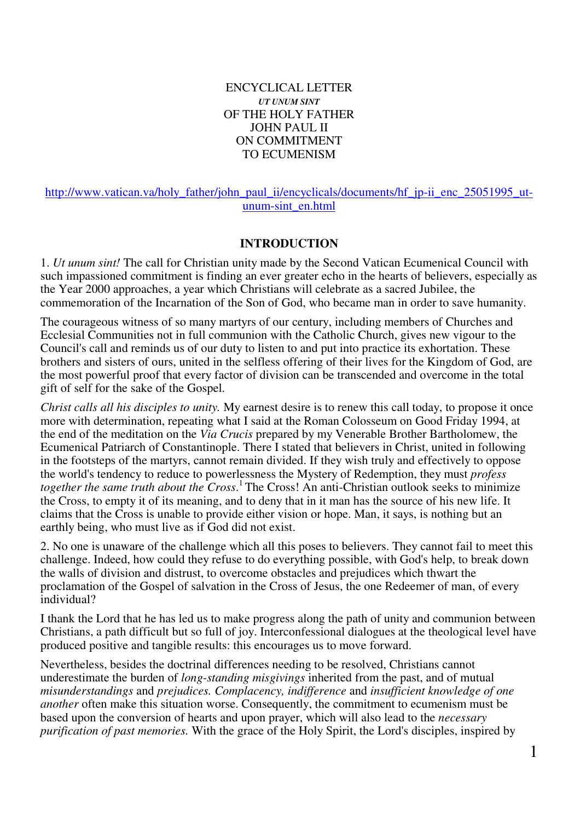#### ENCYCLICAL LETTER *UT UNUM SINT*  OF THE HOLY FATHER JOHN PAUL II ON COMMITMENT TO ECUMENISM

http://www.vatican.va/holy\_father/john\_paul\_ii/encyclicals/documents/hf\_jp-ii\_enc\_25051995\_utunum-sint\_en.html

#### **INTRODUCTION**

1. *Ut unum sint!* The call for Christian unity made by the Second Vatican Ecumenical Council with such impassioned commitment is finding an ever greater echo in the hearts of believers, especially as the Year 2000 approaches, a year which Christians will celebrate as a sacred Jubilee, the commemoration of the Incarnation of the Son of God, who became man in order to save humanity.

The courageous witness of so many martyrs of our century, including members of Churches and Ecclesial Communities not in full communion with the Catholic Church, gives new vigour to the Council's call and reminds us of our duty to listen to and put into practice its exhortation. These brothers and sisters of ours, united in the selfless offering of their lives for the Kingdom of God, are the most powerful proof that every factor of division can be transcended and overcome in the total gift of self for the sake of the Gospel.

*Christ calls all his disciples to unity.* My earnest desire is to renew this call today, to propose it once more with determination, repeating what I said at the Roman Colosseum on Good Friday 1994, at the end of the meditation on the *Via Crucis* prepared by my Venerable Brother Bartholomew, the Ecumenical Patriarch of Constantinople. There I stated that believers in Christ, united in following in the footsteps of the martyrs, cannot remain divided. If they wish truly and effectively to oppose the world's tendency to reduce to powerlessness the Mystery of Redemption, they must *profess*  together the same truth about the Cross.<sup>1</sup> The Cross! An anti-Christian outlook seeks to minimize the Cross, to empty it of its meaning, and to deny that in it man has the source of his new life. It claims that the Cross is unable to provide either vision or hope. Man, it says, is nothing but an earthly being, who must live as if God did not exist.

2. No one is unaware of the challenge which all this poses to believers. They cannot fail to meet this challenge. Indeed, how could they refuse to do everything possible, with God's help, to break down the walls of division and distrust, to overcome obstacles and prejudices which thwart the proclamation of the Gospel of salvation in the Cross of Jesus, the one Redeemer of man, of every individual?

I thank the Lord that he has led us to make progress along the path of unity and communion between Christians, a path difficult but so full of joy. Interconfessional dialogues at the theological level have produced positive and tangible results: this encourages us to move forward.

Nevertheless, besides the doctrinal differences needing to be resolved, Christians cannot underestimate the burden of *long-standing misgivings* inherited from the past, and of mutual *misunderstandings* and *prejudices. Complacency, indifference* and *insufficient knowledge of one another* often make this situation worse. Consequently, the commitment to ecumenism must be based upon the conversion of hearts and upon prayer, which will also lead to the *necessary purification of past memories.* With the grace of the Holy Spirit, the Lord's disciples, inspired by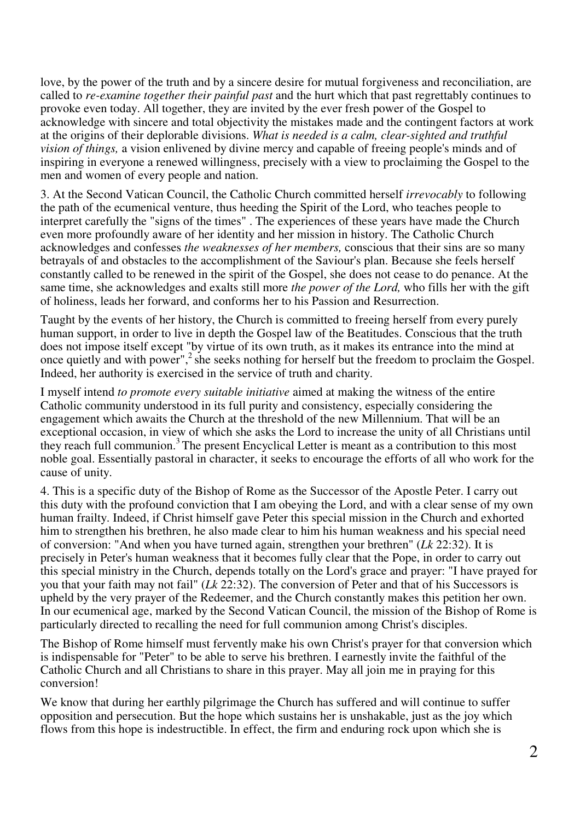love, by the power of the truth and by a sincere desire for mutual forgiveness and reconciliation, are called to *re-examine together their painful past* and the hurt which that past regrettably continues to provoke even today. All together, they are invited by the ever fresh power of the Gospel to acknowledge with sincere and total objectivity the mistakes made and the contingent factors at work at the origins of their deplorable divisions. *What is needed is a calm, clear-sighted and truthful vision of things,* a vision enlivened by divine mercy and capable of freeing people's minds and of inspiring in everyone a renewed willingness, precisely with a view to proclaiming the Gospel to the men and women of every people and nation.

3. At the Second Vatican Council, the Catholic Church committed herself *irrevocably* to following the path of the ecumenical venture, thus heeding the Spirit of the Lord, who teaches people to interpret carefully the "signs of the times" . The experiences of these years have made the Church even more profoundly aware of her identity and her mission in history. The Catholic Church acknowledges and confesses *the weaknesses of her members,* conscious that their sins are so many betrayals of and obstacles to the accomplishment of the Saviour's plan. Because she feels herself constantly called to be renewed in the spirit of the Gospel, she does not cease to do penance. At the same time, she acknowledges and exalts still more *the power of the Lord,* who fills her with the gift of holiness, leads her forward, and conforms her to his Passion and Resurrection.

Taught by the events of her history, the Church is committed to freeing herself from every purely human support, in order to live in depth the Gospel law of the Beatitudes. Conscious that the truth does not impose itself except "by virtue of its own truth, as it makes its entrance into the mind at once quietly and with power",<sup>2</sup> she seeks nothing for herself but the freedom to proclaim the Gospel. Indeed, her authority is exercised in the service of truth and charity.

I myself intend *to promote every suitable initiative* aimed at making the witness of the entire Catholic community understood in its full purity and consistency, especially considering the engagement which awaits the Church at the threshold of the new Millennium. That will be an exceptional occasion, in view of which she asks the Lord to increase the unity of all Christians until they reach full communion.<sup>3</sup> The present Encyclical Letter is meant as a contribution to this most noble goal. Essentially pastoral in character, it seeks to encourage the efforts of all who work for the cause of unity.

4. This is a specific duty of the Bishop of Rome as the Successor of the Apostle Peter. I carry out this duty with the profound conviction that I am obeying the Lord, and with a clear sense of my own human frailty. Indeed, if Christ himself gave Peter this special mission in the Church and exhorted him to strengthen his brethren, he also made clear to him his human weakness and his special need of conversion: "And when you have turned again, strengthen your brethren" (*Lk* 22:32). It is precisely in Peter's human weakness that it becomes fully clear that the Pope, in order to carry out this special ministry in the Church, depends totally on the Lord's grace and prayer: "I have prayed for you that your faith may not fail" (*Lk* 22:32). The conversion of Peter and that of his Successors is upheld by the very prayer of the Redeemer, and the Church constantly makes this petition her own. In our ecumenical age, marked by the Second Vatican Council, the mission of the Bishop of Rome is particularly directed to recalling the need for full communion among Christ's disciples.

The Bishop of Rome himself must fervently make his own Christ's prayer for that conversion which is indispensable for "Peter" to be able to serve his brethren. I earnestly invite the faithful of the Catholic Church and all Christians to share in this prayer. May all join me in praying for this conversion!

We know that during her earthly pilgrimage the Church has suffered and will continue to suffer opposition and persecution. But the hope which sustains her is unshakable, just as the joy which flows from this hope is indestructible. In effect, the firm and enduring rock upon which she is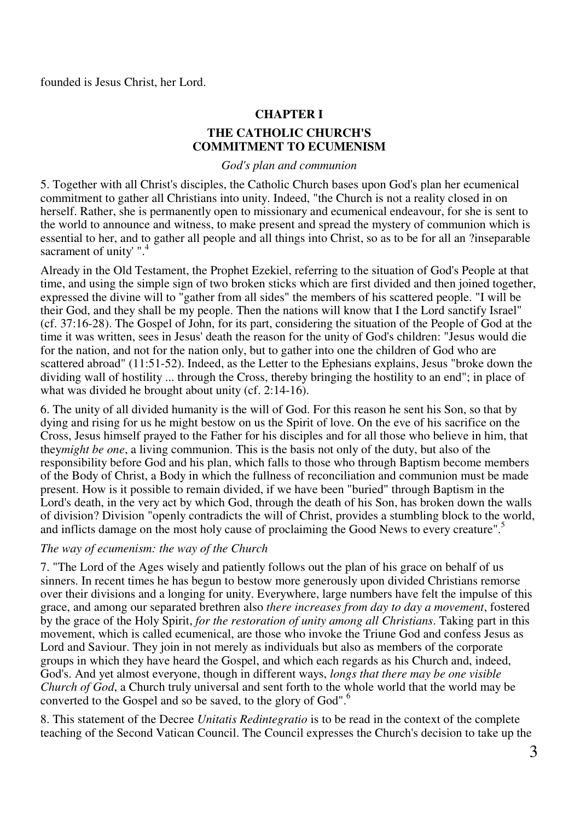founded is Jesus Christ, her Lord.

# **CHAPTER I**

#### **THE CATHOLIC CHURCH'S COMMITMENT TO ECUMENISM**

#### *God's plan and communion*

5. Together with all Christ's disciples, the Catholic Church bases upon God's plan her ecumenical commitment to gather all Christians into unity. Indeed, "the Church is not a reality closed in on herself. Rather, she is permanently open to missionary and ecumenical endeavour, for she is sent to the world to announce and witness, to make present and spread the mystery of communion which is essential to her, and to gather all people and all things into Christ, so as to be for all an ?inseparable sacrament of unity' " $<sup>4</sup>$ </sup>

Already in the Old Testament, the Prophet Ezekiel, referring to the situation of God's People at that time, and using the simple sign of two broken sticks which are first divided and then joined together, expressed the divine will to "gather from all sides" the members of his scattered people. "I will be their God, and they shall be my people. Then the nations will know that I the Lord sanctify Israel" (cf. 37:16-28). The Gospel of John, for its part, considering the situation of the People of God at the time it was written, sees in Jesus' death the reason for the unity of God's children: "Jesus would die for the nation, and not for the nation only, but to gather into one the children of God who are scattered abroad" (11:51-52). Indeed, as the Letter to the Ephesians explains, Jesus "broke down the dividing wall of hostility ... through the Cross, thereby bringing the hostility to an end"; in place of what was divided he brought about unity (cf. 2:14-16).

6. The unity of all divided humanity is the will of God. For this reason he sent his Son, so that by dying and rising for us he might bestow on us the Spirit of love. On the eve of his sacrifice on the Cross, Jesus himself prayed to the Father for his disciples and for all those who believe in him, that they*might be one*, a living communion. This is the basis not only of the duty, but also of the responsibility before God and his plan, which falls to those who through Baptism become members of the Body of Christ, a Body in which the fullness of reconciliation and communion must be made present. How is it possible to remain divided, if we have been "buried" through Baptism in the Lord's death, in the very act by which God, through the death of his Son, has broken down the walls of division? Division "openly contradicts the will of Christ, provides a stumbling block to the world, and inflicts damage on the most holy cause of proclaiming the Good News to every creature".<sup>5</sup>

## *The way of ecumenism: the way of the Church*

7. "The Lord of the Ages wisely and patiently follows out the plan of his grace on behalf of us sinners. In recent times he has begun to bestow more generously upon divided Christians remorse over their divisions and a longing for unity. Everywhere, large numbers have felt the impulse of this grace, and among our separated brethren also *there increases from day to day a movement*, fostered by the grace of the Holy Spirit, *for the restoration of unity among all Christians*. Taking part in this movement, which is called ecumenical, are those who invoke the Triune God and confess Jesus as Lord and Saviour. They join in not merely as individuals but also as members of the corporate groups in which they have heard the Gospel, and which each regards as his Church and, indeed, God's. And yet almost everyone, though in different ways, *longs that there may be one visible Church of God*, a Church truly universal and sent forth to the whole world that the world may be converted to the Gospel and so be saved, to the glory of God".<sup>6</sup>

8. This statement of the Decree *Unitatis Redintegratio* is to be read in the context of the complete teaching of the Second Vatican Council. The Council expresses the Church's decision to take up the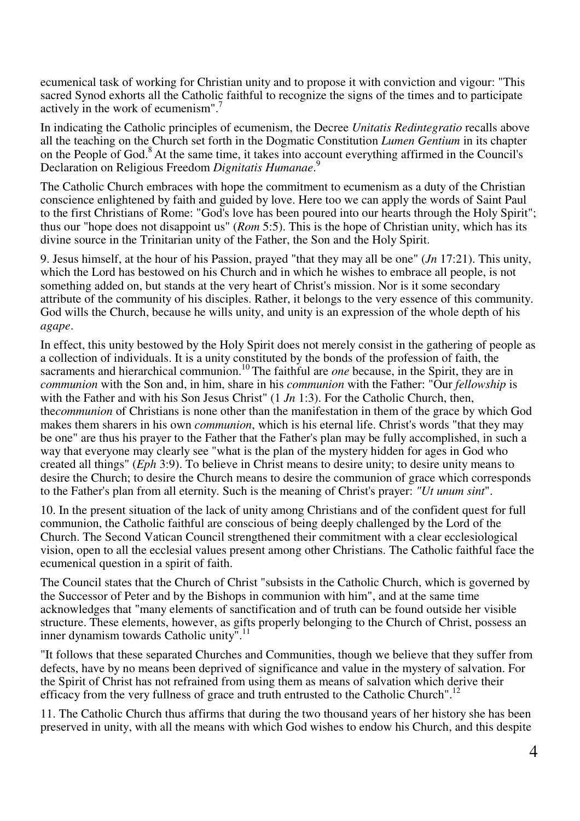ecumenical task of working for Christian unity and to propose it with conviction and vigour: "This sacred Synod exhorts all the Catholic faithful to recognize the signs of the times and to participate actively in the work of ecumenism".<sup>7</sup>

In indicating the Catholic principles of ecumenism, the Decree *Unitatis Redintegratio* recalls above all the teaching on the Church set forth in the Dogmatic Constitution *Lumen Gentium* in its chapter on the People of God.<sup>8</sup> At the same time, it takes into account everything affirmed in the Council's Declaration on Religious Freedom *Dignitatis Humanae*. 9

The Catholic Church embraces with hope the commitment to ecumenism as a duty of the Christian conscience enlightened by faith and guided by love. Here too we can apply the words of Saint Paul to the first Christians of Rome: "God's love has been poured into our hearts through the Holy Spirit"; thus our "hope does not disappoint us" (*Rom* 5:5). This is the hope of Christian unity, which has its divine source in the Trinitarian unity of the Father, the Son and the Holy Spirit.

9. Jesus himself, at the hour of his Passion, prayed "that they may all be one" (*Jn* 17:21). This unity, which the Lord has bestowed on his Church and in which he wishes to embrace all people, is not something added on, but stands at the very heart of Christ's mission. Nor is it some secondary attribute of the community of his disciples. Rather, it belongs to the very essence of this community. God wills the Church, because he wills unity, and unity is an expression of the whole depth of his *agape*.

In effect, this unity bestowed by the Holy Spirit does not merely consist in the gathering of people as a collection of individuals. It is a unity constituted by the bonds of the profession of faith, the sacraments and hierarchical communion.<sup>10</sup>The faithful are *one* because, in the Spirit, they are in *communion* with the Son and, in him, share in his *communion* with the Father: "Our *fellowship* is with the Father and with his Son Jesus Christ" (1 *Jn* 1:3). For the Catholic Church, then, the*communion* of Christians is none other than the manifestation in them of the grace by which God makes them sharers in his own *communion*, which is his eternal life. Christ's words "that they may be one" are thus his prayer to the Father that the Father's plan may be fully accomplished, in such a way that everyone may clearly see "what is the plan of the mystery hidden for ages in God who created all things" (*Eph* 3:9). To believe in Christ means to desire unity; to desire unity means to desire the Church; to desire the Church means to desire the communion of grace which corresponds to the Father's plan from all eternity. Such is the meaning of Christ's prayer: *"Ut unum sint*".

10. In the present situation of the lack of unity among Christians and of the confident quest for full communion, the Catholic faithful are conscious of being deeply challenged by the Lord of the Church. The Second Vatican Council strengthened their commitment with a clear ecclesiological vision, open to all the ecclesial values present among other Christians. The Catholic faithful face the ecumenical question in a spirit of faith.

The Council states that the Church of Christ "subsists in the Catholic Church, which is governed by the Successor of Peter and by the Bishops in communion with him", and at the same time acknowledges that "many elements of sanctification and of truth can be found outside her visible structure. These elements, however, as gifts properly belonging to the Church of Christ, possess an inner dynamism towards Catholic unity".<sup>11</sup>

"It follows that these separated Churches and Communities, though we believe that they suffer from defects, have by no means been deprived of significance and value in the mystery of salvation. For the Spirit of Christ has not refrained from using them as means of salvation which derive their efficacy from the very fullness of grace and truth entrusted to the Catholic Church".<sup>12</sup>

11. The Catholic Church thus affirms that during the two thousand years of her history she has been preserved in unity, with all the means with which God wishes to endow his Church, and this despite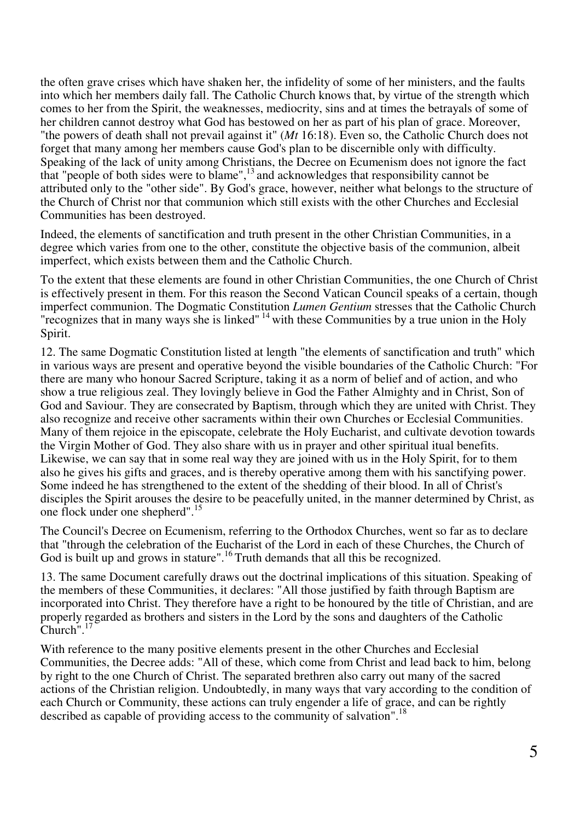the often grave crises which have shaken her, the infidelity of some of her ministers, and the faults into which her members daily fall. The Catholic Church knows that, by virtue of the strength which comes to her from the Spirit, the weaknesses, mediocrity, sins and at times the betrayals of some of her children cannot destroy what God has bestowed on her as part of his plan of grace. Moreover, "the powers of death shall not prevail against it" (*Mt* 16:18). Even so, the Catholic Church does not forget that many among her members cause God's plan to be discernible only with difficulty. Speaking of the lack of unity among Christians, the Decree on Ecumenism does not ignore the fact that "people of both sides were to blame", $^{13}$  and acknowledges that responsibility cannot be attributed only to the "other side". By God's grace, however, neither what belongs to the structure of the Church of Christ nor that communion which still exists with the other Churches and Ecclesial Communities has been destroyed.

Indeed, the elements of sanctification and truth present in the other Christian Communities, in a degree which varies from one to the other, constitute the objective basis of the communion, albeit imperfect, which exists between them and the Catholic Church.

To the extent that these elements are found in other Christian Communities, the one Church of Christ is effectively present in them. For this reason the Second Vatican Council speaks of a certain, though imperfect communion. The Dogmatic Constitution *Lumen Gentium* stresses that the Catholic Church "recognizes that in many ways she is linked"  $14$  with these Communities by a true union in the Holy Spirit.

12. The same Dogmatic Constitution listed at length "the elements of sanctification and truth" which in various ways are present and operative beyond the visible boundaries of the Catholic Church: "For there are many who honour Sacred Scripture, taking it as a norm of belief and of action, and who show a true religious zeal. They lovingly believe in God the Father Almighty and in Christ, Son of God and Saviour. They are consecrated by Baptism, through which they are united with Christ. They also recognize and receive other sacraments within their own Churches or Ecclesial Communities. Many of them rejoice in the episcopate, celebrate the Holy Eucharist, and cultivate devotion towards the Virgin Mother of God. They also share with us in prayer and other spiritual itual benefits. Likewise, we can say that in some real way they are joined with us in the Holy Spirit, for to them also he gives his gifts and graces, and is thereby operative among them with his sanctifying power. Some indeed he has strengthened to the extent of the shedding of their blood. In all of Christ's disciples the Spirit arouses the desire to be peacefully united, in the manner determined by Christ, as one flock under one shepherd".<sup>15</sup>

The Council's Decree on Ecumenism, referring to the Orthodox Churches, went so far as to declare that "through the celebration of the Eucharist of the Lord in each of these Churches, the Church of God is built up and grows in stature".<sup>16</sup>Truth demands that all this be recognized.

13. The same Document carefully draws out the doctrinal implications of this situation. Speaking of the members of these Communities, it declares: "All those justified by faith through Baptism are incorporated into Christ. They therefore have a right to be honoured by the title of Christian, and are properly regarded as brothers and sisters in the Lord by the sons and daughters of the Catholic  $Church''$ <sup>17</sup>

With reference to the many positive elements present in the other Churches and Ecclesial Communities, the Decree adds: "All of these, which come from Christ and lead back to him, belong by right to the one Church of Christ. The separated brethren also carry out many of the sacred actions of the Christian religion. Undoubtedly, in many ways that vary according to the condition of each Church or Community, these actions can truly engender a life of grace, and can be rightly described as capable of providing access to the community of salvation".<sup>18</sup>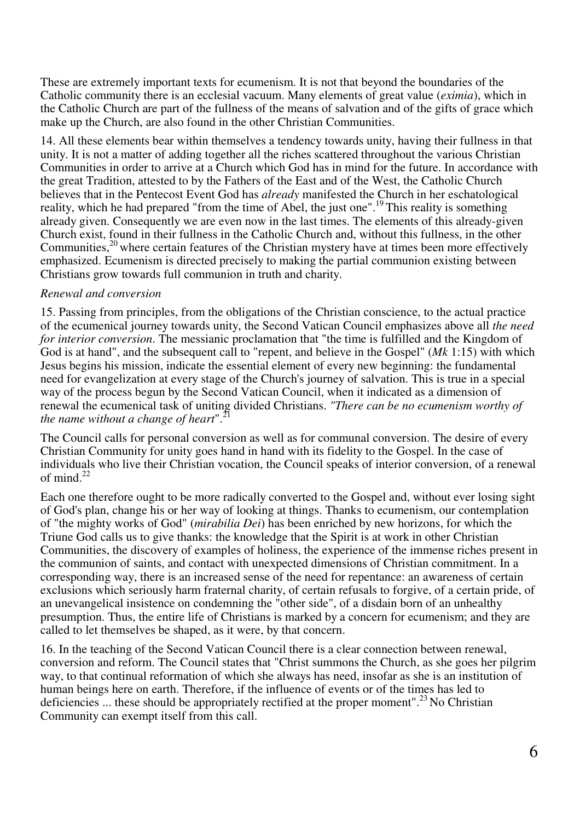These are extremely important texts for ecumenism. It is not that beyond the boundaries of the Catholic community there is an ecclesial vacuum. Many elements of great value (*eximia*), which in the Catholic Church are part of the fullness of the means of salvation and of the gifts of grace which make up the Church, are also found in the other Christian Communities.

14. All these elements bear within themselves a tendency towards unity, having their fullness in that unity. It is not a matter of adding together all the riches scattered throughout the various Christian Communities in order to arrive at a Church which God has in mind for the future. In accordance with the great Tradition, attested to by the Fathers of the East and of the West, the Catholic Church believes that in the Pentecost Event God has *already* manifested the Church in her eschatological reality, which he had prepared "from the time of Abel, the just one".<sup>19</sup>This reality is something already given. Consequently we are even now in the last times. The elements of this already-given Church exist, found in their fullness in the Catholic Church and, without this fullness, in the other Communities,  $20$  where certain features of the Christian mystery have at times been more effectively emphasized. Ecumenism is directed precisely to making the partial communion existing between Christians grow towards full communion in truth and charity.

# *Renewal and conversion*

15. Passing from principles, from the obligations of the Christian conscience, to the actual practice of the ecumenical journey towards unity, the Second Vatican Council emphasizes above all *the need for interior conversion*. The messianic proclamation that "the time is fulfilled and the Kingdom of God is at hand", and the subsequent call to "repent, and believe in the Gospel" (*Mk* 1:15) with which Jesus begins his mission, indicate the essential element of every new beginning: the fundamental need for evangelization at every stage of the Church's journey of salvation. This is true in a special way of the process begun by the Second Vatican Council, when it indicated as a dimension of renewal the ecumenical task of uniting divided Christians. *"There can be no ecumenism worthy of the name without a change of heart*".<sup>21</sup>

The Council calls for personal conversion as well as for communal conversion. The desire of every Christian Community for unity goes hand in hand with its fidelity to the Gospel. In the case of individuals who live their Christian vocation, the Council speaks of interior conversion, of a renewal of mind.<sup>22</sup>

Each one therefore ought to be more radically converted to the Gospel and, without ever losing sight of God's plan, change his or her way of looking at things. Thanks to ecumenism, our contemplation of "the mighty works of God" (*mirabilia Dei*) has been enriched by new horizons, for which the Triune God calls us to give thanks: the knowledge that the Spirit is at work in other Christian Communities, the discovery of examples of holiness, the experience of the immense riches present in the communion of saints, and contact with unexpected dimensions of Christian commitment. In a corresponding way, there is an increased sense of the need for repentance: an awareness of certain exclusions which seriously harm fraternal charity, of certain refusals to forgive, of a certain pride, of an unevangelical insistence on condemning the "other side", of a disdain born of an unhealthy presumption. Thus, the entire life of Christians is marked by a concern for ecumenism; and they are called to let themselves be shaped, as it were, by that concern.

16. In the teaching of the Second Vatican Council there is a clear connection between renewal, conversion and reform. The Council states that "Christ summons the Church, as she goes her pilgrim way, to that continual reformation of which she always has need, insofar as she is an institution of human beings here on earth. Therefore, if the influence of events or of the times has led to deficiencies ... these should be appropriately rectified at the proper moment".<sup>23</sup> No Christian Community can exempt itself from this call.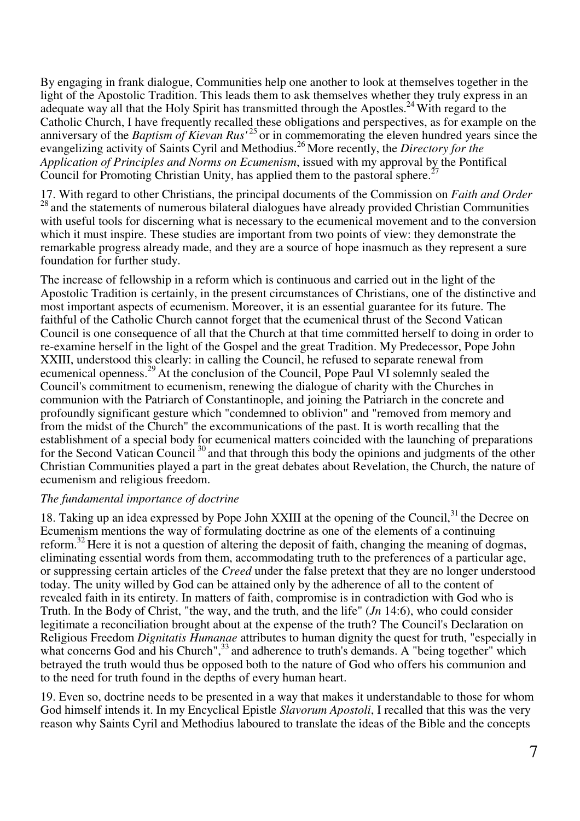By engaging in frank dialogue, Communities help one another to look at themselves together in the light of the Apostolic Tradition. This leads them to ask themselves whether they truly express in an adequate way all that the Holy Spirit has transmitted through the Apostles.<sup>24</sup> With regard to the Catholic Church, I have frequently recalled these obligations and perspectives, as for example on the anniversary of the *Baptism of Kievan Rus'*<sup>25</sup> or in commemorating the eleven hundred years since the evangelizing activity of Saints Cyril and Methodius.<sup>26</sup> More recently, the *Directory for the Application of Principles and Norms on Ecumenism*, issued with my approval by the Pontifical Council for Promoting Christian Unity, has applied them to the pastoral sphere.<sup>27</sup>

17. With regard to other Christians, the principal documents of the Commission on *Faith and Order*  $28$  and the statements of numerous bilateral dialogues have already provided Christian Communities with useful tools for discerning what is necessary to the ecumenical movement and to the conversion which it must inspire. These studies are important from two points of view: they demonstrate the remarkable progress already made, and they are a source of hope inasmuch as they represent a sure foundation for further study.

The increase of fellowship in a reform which is continuous and carried out in the light of the Apostolic Tradition is certainly, in the present circumstances of Christians, one of the distinctive and most important aspects of ecumenism. Moreover, it is an essential guarantee for its future. The faithful of the Catholic Church cannot forget that the ecumenical thrust of the Second Vatican Council is one consequence of all that the Church at that time committed herself to doing in order to re-examine herself in the light of the Gospel and the great Tradition. My Predecessor, Pope John XXIII, understood this clearly: in calling the Council, he refused to separate renewal from ecumenical openness.<sup>29</sup> At the conclusion of the Council, Pope Paul VI solemnly sealed the Council's commitment to ecumenism, renewing the dialogue of charity with the Churches in communion with the Patriarch of Constantinople, and joining the Patriarch in the concrete and profoundly significant gesture which "condemned to oblivion" and "removed from memory and from the midst of the Church" the excommunications of the past. It is worth recalling that the establishment of a special body for ecumenical matters coincided with the launching of preparations for the Second Vatican Council<sup>30</sup> and that through this body the opinions and judgments of the other Christian Communities played a part in the great debates about Revelation, the Church, the nature of ecumenism and religious freedom.

## *The fundamental importance of doctrine*

18. Taking up an idea expressed by Pope John XXIII at the opening of the Council,  $31$  the Decree on Ecumenism mentions the way of formulating doctrine as one of the elements of a continuing reform.<sup>32</sup> Here it is not a question of altering the deposit of faith, changing the meaning of dogmas, eliminating essential words from them, accommodating truth to the preferences of a particular age, or suppressing certain articles of the *Creed* under the false pretext that they are no longer understood today. The unity willed by God can be attained only by the adherence of all to the content of revealed faith in its entirety. In matters of faith, compromise is in contradiction with God who is Truth. In the Body of Christ, "the way, and the truth, and the life" (*Jn* 14:6), who could consider legitimate a reconciliation brought about at the expense of the truth? The Council's Declaration on Religious Freedom *Dignitatis Humanae* attributes to human dignity the quest for truth, "especially in what concerns God and his Church",<sup>33</sup> and adherence to truth's demands. A "being together" which betrayed the truth would thus be opposed both to the nature of God who offers his communion and to the need for truth found in the depths of every human heart.

19. Even so, doctrine needs to be presented in a way that makes it understandable to those for whom God himself intends it. In my Encyclical Epistle *Slavorum Apostoli*, I recalled that this was the very reason why Saints Cyril and Methodius laboured to translate the ideas of the Bible and the concepts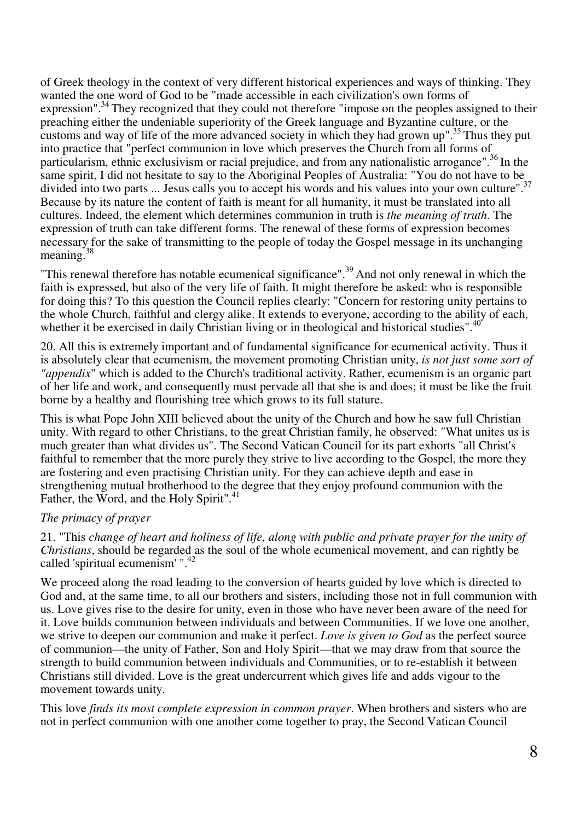of Greek theology in the context of very different historical experiences and ways of thinking. They wanted the one word of God to be "made accessible in each civilization's own forms of expression".<sup>34</sup> They recognized that they could not therefore "impose on the peoples assigned to their preaching either the undeniable superiority of the Greek language and Byzantine culture, or the customs and way of life of the more advanced society in which they had grown up".<sup>35</sup> Thus they put into practice that "perfect communion in love which preserves the Church from all forms of particularism, ethnic exclusivism or racial prejudice, and from any nationalistic arrogance".<sup>36</sup>In the same spirit, I did not hesitate to say to the Aboriginal Peoples of Australia: "You do not have to be divided into two parts ... Jesus calls you to accept his words and his values into your own culture".<sup>37</sup> Because by its nature the content of faith is meant for all humanity, it must be translated into all cultures. Indeed, the element which determines communion in truth is *the meaning of truth*. The expression of truth can take different forms. The renewal of these forms of expression becomes necessary for the sake of transmitting to the people of today the Gospel message in its unchanging meaning.<sup>38</sup>

"This renewal therefore has notable ecumenical significance".<sup>39</sup> And not only renewal in which the faith is expressed, but also of the very life of faith. It might therefore be asked: who is responsible for doing this? To this question the Council replies clearly: "Concern for restoring unity pertains to the whole Church, faithful and clergy alike. It extends to everyone, according to the ability of each, whether it be exercised in daily Christian living or in theological and historical studies".<sup>40</sup>

20. All this is extremely important and of fundamental significance for ecumenical activity. Thus it is absolutely clear that ecumenism, the movement promoting Christian unity, *is not just some sort of "appendix*" which is added to the Church's traditional activity. Rather, ecumenism is an organic part of her life and work, and consequently must pervade all that she is and does; it must be like the fruit borne by a healthy and flourishing tree which grows to its full stature.

This is what Pope John XIII believed about the unity of the Church and how he saw full Christian unity. With regard to other Christians, to the great Christian family, he observed: "What unites us is much greater than what divides us". The Second Vatican Council for its part exhorts "all Christ's faithful to remember that the more purely they strive to live according to the Gospel, the more they are fostering and even practising Christian unity. For they can achieve depth and ease in strengthening mutual brotherhood to the degree that they enjoy profound communion with the Father, the Word, and the Holy Spirit".<sup>41</sup>

# *The primacy of prayer*

21. "This *change of heart and holiness of life, along with public and private prayer for the unity of Christians*, should be regarded as the soul of the whole ecumenical movement, and can rightly be called 'spiritual ecumenism' ".<sup>42</sup>

We proceed along the road leading to the conversion of hearts guided by love which is directed to God and, at the same time, to all our brothers and sisters, including those not in full communion with us. Love gives rise to the desire for unity, even in those who have never been aware of the need for it. Love builds communion between individuals and between Communities. If we love one another, we strive to deepen our communion and make it perfect. *Love is given to God* as the perfect source of communion—the unity of Father, Son and Holy Spirit—that we may draw from that source the strength to build communion between individuals and Communities, or to re-establish it between Christians still divided. Love is the great undercurrent which gives life and adds vigour to the movement towards unity.

This love *finds its most complete expression in common prayer*. When brothers and sisters who are not in perfect communion with one another come together to pray, the Second Vatican Council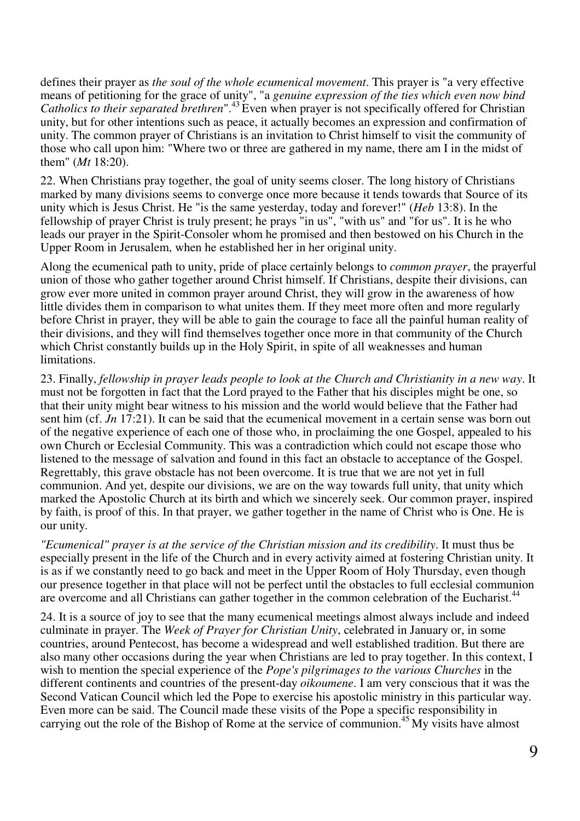defines their prayer as *the soul of the whole ecumenical movement*. This prayer is "a very effective means of petitioning for the grace of unity", "a *genuine expression of the ties which even now bind Catholics to their separated brethren*".<sup>43</sup> Even when prayer is not specifically offered for Christian unity, but for other intentions such as peace, it actually becomes an expression and confirmation of unity. The common prayer of Christians is an invitation to Christ himself to visit the community of those who call upon him: "Where two or three are gathered in my name, there am I in the midst of them" (*Mt* 18:20).

22. When Christians pray together, the goal of unity seems closer. The long history of Christians marked by many divisions seems to converge once more because it tends towards that Source of its unity which is Jesus Christ. He "is the same yesterday, today and forever!" (*Heb* 13:8). In the fellowship of prayer Christ is truly present; he prays "in us", "with us" and "for us". It is he who leads our prayer in the Spirit-Consoler whom he promised and then bestowed on his Church in the Upper Room in Jerusalem, when he established her in her original unity.

Along the ecumenical path to unity, pride of place certainly belongs to *common prayer*, the prayerful union of those who gather together around Christ himself. If Christians, despite their divisions, can grow ever more united in common prayer around Christ, they will grow in the awareness of how little divides them in comparison to what unites them. If they meet more often and more regularly before Christ in prayer, they will be able to gain the courage to face all the painful human reality of their divisions, and they will find themselves together once more in that community of the Church which Christ constantly builds up in the Holy Spirit, in spite of all weaknesses and human limitations.

23. Finally, *fellowship in prayer leads people to look at the Church and Christianity in a new way*. It must not be forgotten in fact that the Lord prayed to the Father that his disciples might be one, so that their unity might bear witness to his mission and the world would believe that the Father had sent him (cf. *Jn* 17:21). It can be said that the ecumenical movement in a certain sense was born out of the negative experience of each one of those who, in proclaiming the one Gospel, appealed to his own Church or Ecclesial Community. This was a contradiction which could not escape those who listened to the message of salvation and found in this fact an obstacle to acceptance of the Gospel. Regrettably, this grave obstacle has not been overcome. It is true that we are not yet in full communion. And yet, despite our divisions, we are on the way towards full unity, that unity which marked the Apostolic Church at its birth and which we sincerely seek. Our common prayer, inspired by faith, is proof of this. In that prayer, we gather together in the name of Christ who is One. He is our unity.

*"Ecumenical" prayer is at the service of the Christian mission and its credibility*. It must thus be especially present in the life of the Church and in every activity aimed at fostering Christian unity. It is as if we constantly need to go back and meet in the Upper Room of Holy Thursday, even though our presence together in that place will not be perfect until the obstacles to full ecclesial communion are overcome and all Christians can gather together in the common celebration of the Eucharist.<sup>44</sup>

24. It is a source of joy to see that the many ecumenical meetings almost always include and indeed culminate in prayer. The *Week of Prayer for Christian Unity*, celebrated in January or, in some countries, around Pentecost, has become a widespread and well established tradition. But there are also many other occasions during the year when Christians are led to pray together. In this context, I wish to mention the special experience of the *Pope's pilgrimages to the various Churches* in the different continents and countries of the present-day *oikoumene*. I am very conscious that it was the Second Vatican Council which led the Pope to exercise his apostolic ministry in this particular way. Even more can be said. The Council made these visits of the Pope a specific responsibility in carrying out the role of the Bishop of Rome at the service of communion.<sup>45</sup>My visits have almost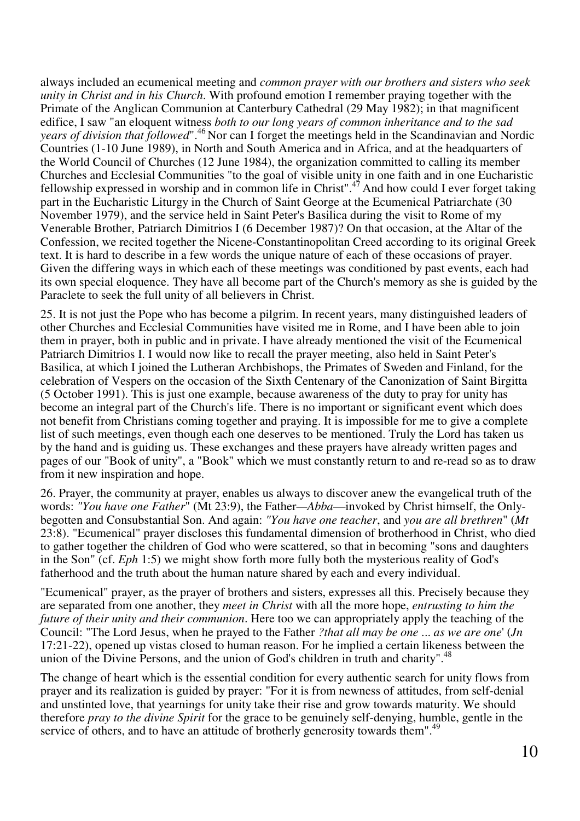always included an ecumenical meeting and *common prayer with our brothers and sisters who seek unity in Christ and in his Church*. With profound emotion I remember praying together with the Primate of the Anglican Communion at Canterbury Cathedral (29 May 1982); in that magnificent edifice, I saw "an eloquent witness *both to our long years of common inheritance and to the sad*  years of division that followed".<sup>46</sup> Nor can I forget the meetings held in the Scandinavian and Nordic Countries (1-10 June 1989), in North and South America and in Africa, and at the headquarters of the World Council of Churches (12 June 1984), the organization committed to calling its member Churches and Ecclesial Communities "to the goal of visible unity in one faith and in one Eucharistic fellowship expressed in worship and in common life in Christ".<sup>47</sup> And how could I ever forget taking part in the Eucharistic Liturgy in the Church of Saint George at the Ecumenical Patriarchate (30 November 1979), and the service held in Saint Peter's Basilica during the visit to Rome of my Venerable Brother, Patriarch Dimitrios I (6 December 1987)? On that occasion, at the Altar of the Confession, we recited together the Nicene-Constantinopolitan Creed according to its original Greek text. It is hard to describe in a few words the unique nature of each of these occasions of prayer. Given the differing ways in which each of these meetings was conditioned by past events, each had its own special eloquence. They have all become part of the Church's memory as she is guided by the Paraclete to seek the full unity of all believers in Christ.

25. It is not just the Pope who has become a pilgrim. In recent years, many distinguished leaders of other Churches and Ecclesial Communities have visited me in Rome, and I have been able to join them in prayer, both in public and in private. I have already mentioned the visit of the Ecumenical Patriarch Dimitrios I. I would now like to recall the prayer meeting, also held in Saint Peter's Basilica, at which I joined the Lutheran Archbishops, the Primates of Sweden and Finland, for the celebration of Vespers on the occasion of the Sixth Centenary of the Canonization of Saint Birgitta (5 October 1991). This is just one example, because awareness of the duty to pray for unity has become an integral part of the Church's life. There is no important or significant event which does not benefit from Christians coming together and praying. It is impossible for me to give a complete list of such meetings, even though each one deserves to be mentioned. Truly the Lord has taken us by the hand and is guiding us. These exchanges and these prayers have already written pages and pages of our "Book of unity", a "Book" which we must constantly return to and re-read so as to draw from it new inspiration and hope.

26. Prayer, the community at prayer, enables us always to discover anew the evangelical truth of the words: *"You have one Father*" (Mt 23:9), the Father*—Abba*—invoked by Christ himself, the Onlybegotten and Consubstantial Son. And again: *"You have one teacher*, and *you are all brethren*" (*Mt* 23:8). "Ecumenical" prayer discloses this fundamental dimension of brotherhood in Christ, who died to gather together the children of God who were scattered, so that in becoming "sons and daughters in the Son" (cf. *Eph* 1:5) we might show forth more fully both the mysterious reality of God's fatherhood and the truth about the human nature shared by each and every individual.

"Ecumenical" prayer, as the prayer of brothers and sisters, expresses all this. Precisely because they are separated from one another, they *meet in Christ* with all the more hope, *entrusting to him the future of their unity and their communion*. Here too we can appropriately apply the teaching of the Council: "The Lord Jesus, when he prayed to the Father *?that all may be one* ... *as we are one*' (*Jn* 17:21-22), opened up vistas closed to human reason. For he implied a certain likeness between the union of the Divine Persons, and the union of God's children in truth and charity".<sup>48</sup>

The change of heart which is the essential condition for every authentic search for unity flows from prayer and its realization is guided by prayer: "For it is from newness of attitudes, from self-denial and unstinted love, that yearnings for unity take their rise and grow towards maturity. We should therefore *pray to the divine Spirit* for the grace to be genuinely self-denying, humble, gentle in the service of others, and to have an attitude of brotherly generosity towards them".<sup>49</sup>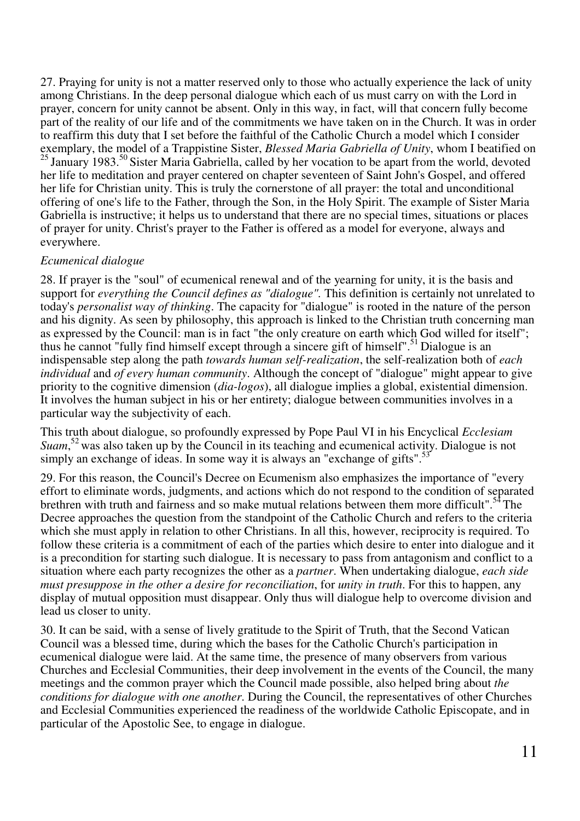27. Praying for unity is not a matter reserved only to those who actually experience the lack of unity among Christians. In the deep personal dialogue which each of us must carry on with the Lord in prayer, concern for unity cannot be absent. Only in this way, in fact, will that concern fully become part of the reality of our life and of the commitments we have taken on in the Church. It was in order to reaffirm this duty that I set before the faithful of the Catholic Church a model which I consider exemplary, the model of a Trappistine Sister, *Blessed Maria Gabriella of Unity*, whom I beatified on  $^{25}$  January 1983.<sup>50</sup> Sister Maria Gabriella, called by her vocation to be apart from the world, devoted her life to meditation and prayer centered on chapter seventeen of Saint John's Gospel, and offered her life for Christian unity. This is truly the cornerstone of all prayer: the total and unconditional offering of one's life to the Father, through the Son, in the Holy Spirit. The example of Sister Maria Gabriella is instructive; it helps us to understand that there are no special times, situations or places of prayer for unity. Christ's prayer to the Father is offered as a model for everyone, always and everywhere.

#### *Ecumenical dialogue*

28. If prayer is the "soul" of ecumenical renewal and of the yearning for unity, it is the basis and support for *everything the Council defines as "dialogue"*. This definition is certainly not unrelated to today's *personalist way of thinking*. The capacity for "dialogue" is rooted in the nature of the person and his dignity. As seen by philosophy, this approach is linked to the Christian truth concerning man as expressed by the Council: man is in fact "the only creature on earth which God willed for itself"; thus he cannot "fully find himself except through a sincere gift of himself".<sup>51</sup> Dialogue is an indispensable step along the path *towards human self-realization*, the self-realization both of *each individual* and *of every human community*. Although the concept of "dialogue" might appear to give priority to the cognitive dimension (*dia-logos*), all dialogue implies a global, existential dimension. It involves the human subject in his or her entirety; dialogue between communities involves in a particular way the subjectivity of each.

This truth about dialogue, so profoundly expressed by Pope Paul VI in his Encyclical *Ecclesiam*  Suam,<sup>52</sup> was also taken up by the Council in its teaching and ecumenical activity. Dialogue is not simply an exchange of ideas. In some way it is always an "exchange of gifts".<sup>53</sup>

29. For this reason, the Council's Decree on Ecumenism also emphasizes the importance of "every effort to eliminate words, judgments, and actions which do not respond to the condition of separated brethren with truth and fairness and so make mutual relations between them more difficult".<sup>54</sup>The Decree approaches the question from the standpoint of the Catholic Church and refers to the criteria which she must apply in relation to other Christians. In all this, however, reciprocity is required. To follow these criteria is a commitment of each of the parties which desire to enter into dialogue and it is a precondition for starting such dialogue. It is necessary to pass from antagonism and conflict to a situation where each party recognizes the other as a *partner*. When undertaking dialogue, *each side must presuppose in the other a desire for reconciliation*, for *unity in truth*. For this to happen, any display of mutual opposition must disappear. Only thus will dialogue help to overcome division and lead us closer to unity.

30. It can be said, with a sense of lively gratitude to the Spirit of Truth, that the Second Vatican Council was a blessed time, during which the bases for the Catholic Church's participation in ecumenical dialogue were laid. At the same time, the presence of many observers from various Churches and Ecclesial Communities, their deep involvement in the events of the Council, the many meetings and the common prayer which the Council made possible, also helped bring about *the conditions for dialogue with one another*. During the Council, the representatives of other Churches and Ecclesial Communities experienced the readiness of the worldwide Catholic Episcopate, and in particular of the Apostolic See, to engage in dialogue.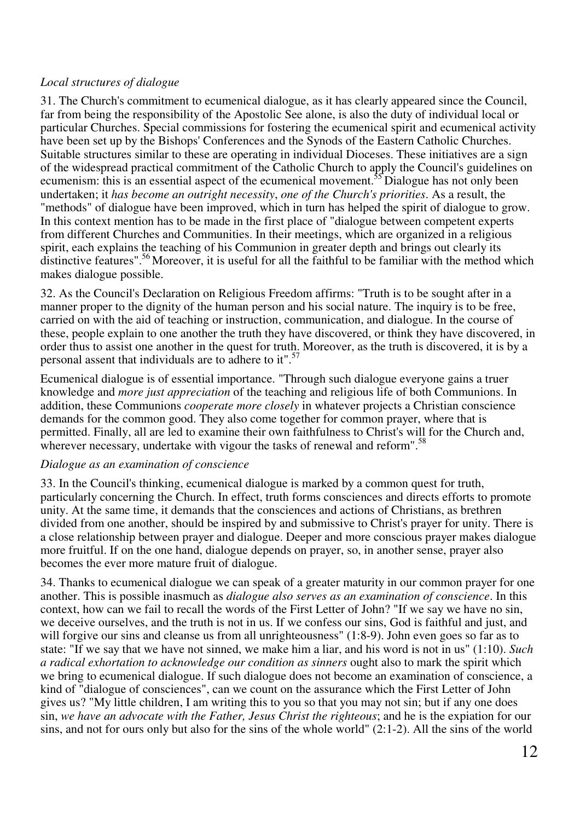# *Local structures of dialogue*

31. The Church's commitment to ecumenical dialogue, as it has clearly appeared since the Council, far from being the responsibility of the Apostolic See alone, is also the duty of individual local or particular Churches. Special commissions for fostering the ecumenical spirit and ecumenical activity have been set up by the Bishops' Conferences and the Synods of the Eastern Catholic Churches. Suitable structures similar to these are operating in individual Dioceses. These initiatives are a sign of the widespread practical commitment of the Catholic Church to apply the Council's guidelines on ecumenism: this is an essential aspect of the ecumenical movement.<sup>55</sup>Dialogue has not only been undertaken; it *has become an outright necessity*, *one of the Church's priorities*. As a result, the "methods" of dialogue have been improved, which in turn has helped the spirit of dialogue to grow. In this context mention has to be made in the first place of "dialogue between competent experts from different Churches and Communities. In their meetings, which are organized in a religious spirit, each explains the teaching of his Communion in greater depth and brings out clearly its distinctive features".<sup>56</sup> Moreover, it is useful for all the faithful to be familiar with the method which makes dialogue possible.

32. As the Council's Declaration on Religious Freedom affirms: "Truth is to be sought after in a manner proper to the dignity of the human person and his social nature. The inquiry is to be free, carried on with the aid of teaching or instruction, communication, and dialogue. In the course of these, people explain to one another the truth they have discovered, or think they have discovered, in order thus to assist one another in the quest for truth. Moreover, as the truth is discovered, it is by a personal assent that individuals are to adhere to it".<sup>57</sup>

Ecumenical dialogue is of essential importance. "Through such dialogue everyone gains a truer knowledge and *more just appreciation* of the teaching and religious life of both Communions. In addition, these Communions *cooperate more closely* in whatever projects a Christian conscience demands for the common good. They also come together for common prayer, where that is permitted. Finally, all are led to examine their own faithfulness to Christ's will for the Church and, wherever necessary, undertake with vigour the tasks of renewal and reform".<sup>58</sup>

## *Dialogue as an examination of conscience*

33. In the Council's thinking, ecumenical dialogue is marked by a common quest for truth, particularly concerning the Church. In effect, truth forms consciences and directs efforts to promote unity. At the same time, it demands that the consciences and actions of Christians, as brethren divided from one another, should be inspired by and submissive to Christ's prayer for unity. There is a close relationship between prayer and dialogue. Deeper and more conscious prayer makes dialogue more fruitful. If on the one hand, dialogue depends on prayer, so, in another sense, prayer also becomes the ever more mature fruit of dialogue.

34. Thanks to ecumenical dialogue we can speak of a greater maturity in our common prayer for one another. This is possible inasmuch as *dialogue also serves as an examination of conscience*. In this context, how can we fail to recall the words of the First Letter of John? "If we say we have no sin, we deceive ourselves, and the truth is not in us. If we confess our sins, God is faithful and just, and will forgive our sins and cleanse us from all unrighteousness" (1:8-9). John even goes so far as to state: "If we say that we have not sinned, we make him a liar, and his word is not in us" (1:10). *Such a radical exhortation to acknowledge our condition as sinners* ought also to mark the spirit which we bring to ecumenical dialogue. If such dialogue does not become an examination of conscience, a kind of "dialogue of consciences", can we count on the assurance which the First Letter of John gives us? "My little children, I am writing this to you so that you may not sin; but if any one does sin, *we have an advocate with the Father, Jesus Christ the righteous*; and he is the expiation for our sins, and not for ours only but also for the sins of the whole world" (2:1-2). All the sins of the world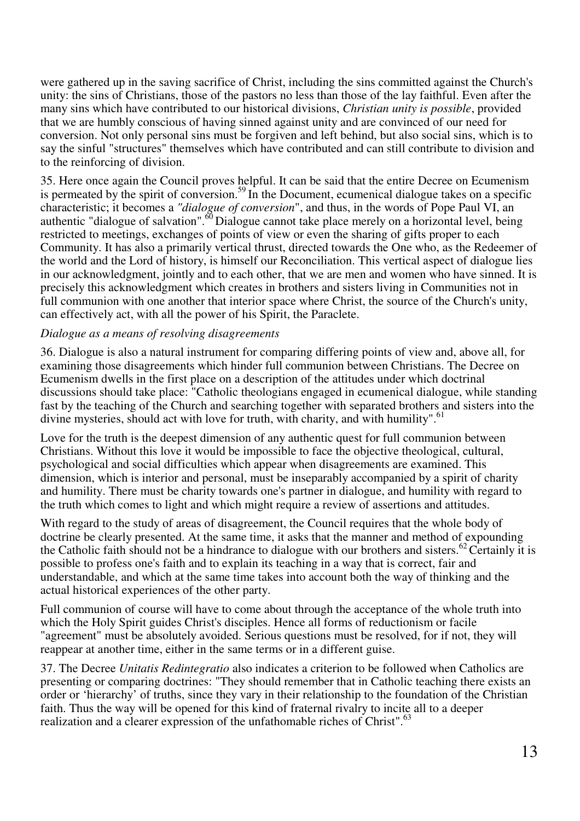were gathered up in the saving sacrifice of Christ, including the sins committed against the Church's unity: the sins of Christians, those of the pastors no less than those of the lay faithful. Even after the many sins which have contributed to our historical divisions, *Christian unity is possible*, provided that we are humbly conscious of having sinned against unity and are convinced of our need for conversion. Not only personal sins must be forgiven and left behind, but also social sins, which is to say the sinful "structures" themselves which have contributed and can still contribute to division and to the reinforcing of division.

35. Here once again the Council proves helpful. It can be said that the entire Decree on Ecumenism is permeated by the spirit of conversion.<sup>59</sup> In the Document, ecumenical dialogue takes on a specific characteristic; it becomes a *"dialogue of conversion*", and thus, in the words of Pope Paul VI, an authentic "dialogue of salvation".<sup>60</sup> Dialogue cannot take place merely on a horizontal level, being restricted to meetings, exchanges of points of view or even the sharing of gifts proper to each Community. It has also a primarily vertical thrust, directed towards the One who, as the Redeemer of the world and the Lord of history, is himself our Reconciliation. This vertical aspect of dialogue lies in our acknowledgment, jointly and to each other, that we are men and women who have sinned. It is precisely this acknowledgment which creates in brothers and sisters living in Communities not in full communion with one another that interior space where Christ, the source of the Church's unity, can effectively act, with all the power of his Spirit, the Paraclete.

## *Dialogue as a means of resolving disagreements*

36. Dialogue is also a natural instrument for comparing differing points of view and, above all, for examining those disagreements which hinder full communion between Christians. The Decree on Ecumenism dwells in the first place on a description of the attitudes under which doctrinal discussions should take place: "Catholic theologians engaged in ecumenical dialogue, while standing fast by the teaching of the Church and searching together with separated brothers and sisters into the divine mysteries, should act with love for truth, with charity, and with humility".<sup>61</sup>

Love for the truth is the deepest dimension of any authentic quest for full communion between Christians. Without this love it would be impossible to face the objective theological, cultural, psychological and social difficulties which appear when disagreements are examined. This dimension, which is interior and personal, must be inseparably accompanied by a spirit of charity and humility. There must be charity towards one's partner in dialogue, and humility with regard to the truth which comes to light and which might require a review of assertions and attitudes.

With regard to the study of areas of disagreement, the Council requires that the whole body of doctrine be clearly presented. At the same time, it asks that the manner and method of expounding the Catholic faith should not be a hindrance to dialogue with our brothers and sisters.<sup>62</sup> Certainly it is possible to profess one's faith and to explain its teaching in a way that is correct, fair and understandable, and which at the same time takes into account both the way of thinking and the actual historical experiences of the other party.

Full communion of course will have to come about through the acceptance of the whole truth into which the Holy Spirit guides Christ's disciples. Hence all forms of reductionism or facile "agreement" must be absolutely avoided. Serious questions must be resolved, for if not, they will reappear at another time, either in the same terms or in a different guise.

37. The Decree *Unitatis Redintegratio* also indicates a criterion to be followed when Catholics are presenting or comparing doctrines: "They should remember that in Catholic teaching there exists an order or 'hierarchy' of truths, since they vary in their relationship to the foundation of the Christian faith. Thus the way will be opened for this kind of fraternal rivalry to incite all to a deeper realization and a clearer expression of the unfathomable riches of Christ".<sup>63</sup>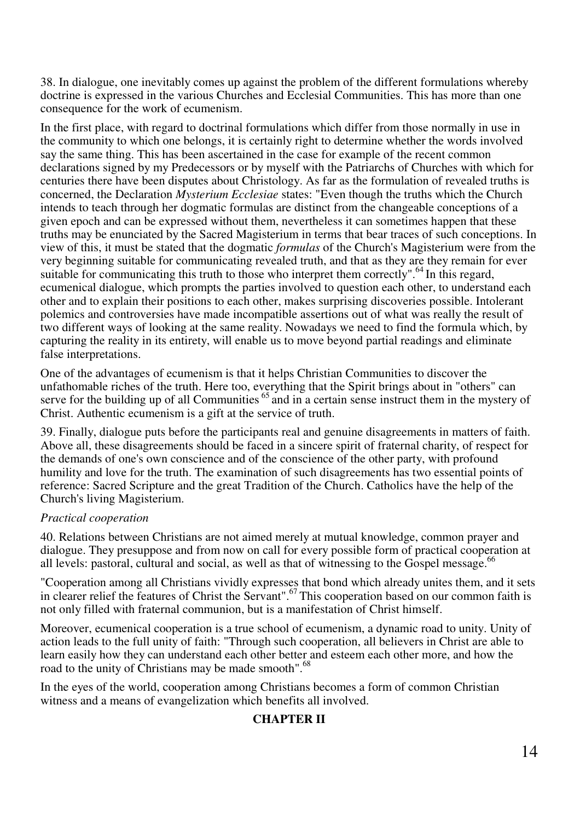38. In dialogue, one inevitably comes up against the problem of the different formulations whereby doctrine is expressed in the various Churches and Ecclesial Communities. This has more than one consequence for the work of ecumenism.

In the first place, with regard to doctrinal formulations which differ from those normally in use in the community to which one belongs, it is certainly right to determine whether the words involved say the same thing. This has been ascertained in the case for example of the recent common declarations signed by my Predecessors or by myself with the Patriarchs of Churches with which for centuries there have been disputes about Christology. As far as the formulation of revealed truths is concerned, the Declaration *Mysterium Ecclesiae* states: "Even though the truths which the Church intends to teach through her dogmatic formulas are distinct from the changeable conceptions of a given epoch and can be expressed without them, nevertheless it can sometimes happen that these truths may be enunciated by the Sacred Magisterium in terms that bear traces of such conceptions. In view of this, it must be stated that the dogmatic *formulas* of the Church's Magisterium were from the very beginning suitable for communicating revealed truth, and that as they are they remain for ever suitable for communicating this truth to those who interpret them correctly".<sup>64</sup> In this regard, ecumenical dialogue, which prompts the parties involved to question each other, to understand each other and to explain their positions to each other, makes surprising discoveries possible. Intolerant polemics and controversies have made incompatible assertions out of what was really the result of two different ways of looking at the same reality. Nowadays we need to find the formula which, by capturing the reality in its entirety, will enable us to move beyond partial readings and eliminate false interpretations.

One of the advantages of ecumenism is that it helps Christian Communities to discover the unfathomable riches of the truth. Here too, everything that the Spirit brings about in "others" can serve for the building up of all Communities<sup>65</sup> and in a certain sense instruct them in the mystery of Christ. Authentic ecumenism is a gift at the service of truth.

39. Finally, dialogue puts before the participants real and genuine disagreements in matters of faith. Above all, these disagreements should be faced in a sincere spirit of fraternal charity, of respect for the demands of one's own conscience and of the conscience of the other party, with profound humility and love for the truth. The examination of such disagreements has two essential points of reference: Sacred Scripture and the great Tradition of the Church. Catholics have the help of the Church's living Magisterium.

## *Practical cooperation*

40. Relations between Christians are not aimed merely at mutual knowledge, common prayer and dialogue. They presuppose and from now on call for every possible form of practical cooperation at all levels: pastoral, cultural and social, as well as that of witnessing to the Gospel message.<sup>66</sup>

"Cooperation among all Christians vividly expresses that bond which already unites them, and it sets in clearer relief the features of Christ the Servant".<sup>67</sup> This cooperation based on our common faith is not only filled with fraternal communion, but is a manifestation of Christ himself.

Moreover, ecumenical cooperation is a true school of ecumenism, a dynamic road to unity. Unity of action leads to the full unity of faith: "Through such cooperation, all believers in Christ are able to learn easily how they can understand each other better and esteem each other more, and how the road to the unity of Christians may be made smooth".<sup>68</sup>

In the eyes of the world, cooperation among Christians becomes a form of common Christian witness and a means of evangelization which benefits all involved.

# **CHAPTER II**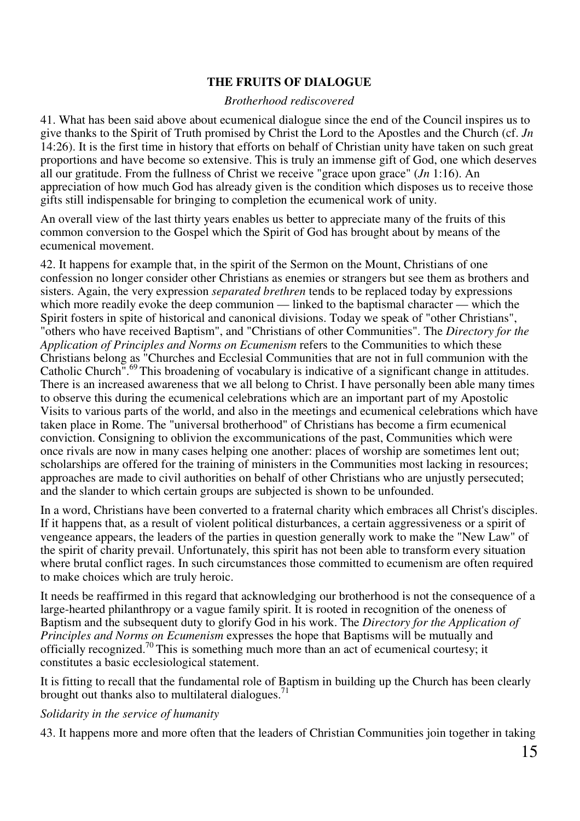# **THE FRUITS OF DIALOGUE**

#### *Brotherhood rediscovered*

41. What has been said above about ecumenical dialogue since the end of the Council inspires us to give thanks to the Spirit of Truth promised by Christ the Lord to the Apostles and the Church (cf. *Jn* 14:26). It is the first time in history that efforts on behalf of Christian unity have taken on such great proportions and have become so extensive. This is truly an immense gift of God, one which deserves all our gratitude. From the fullness of Christ we receive "grace upon grace" (*Jn* 1:16). An appreciation of how much God has already given is the condition which disposes us to receive those gifts still indispensable for bringing to completion the ecumenical work of unity.

An overall view of the last thirty years enables us better to appreciate many of the fruits of this common conversion to the Gospel which the Spirit of God has brought about by means of the ecumenical movement.

42. It happens for example that, in the spirit of the Sermon on the Mount, Christians of one confession no longer consider other Christians as enemies or strangers but see them as brothers and sisters. Again, the very expression *separated brethren* tends to be replaced today by expressions which more readily evoke the deep communion — linked to the baptismal character — which the Spirit fosters in spite of historical and canonical divisions. Today we speak of "other Christians", "others who have received Baptism", and "Christians of other Communities". The *Directory for the Application of Principles and Norms on Ecumenism* refers to the Communities to which these Christians belong as "Churches and Ecclesial Communities that are not in full communion with the Catholic Church<sup>".69</sup>This broadening of vocabulary is indicative of a significant change in attitudes. There is an increased awareness that we all belong to Christ. I have personally been able many times to observe this during the ecumenical celebrations which are an important part of my Apostolic Visits to various parts of the world, and also in the meetings and ecumenical celebrations which have taken place in Rome. The "universal brotherhood" of Christians has become a firm ecumenical conviction. Consigning to oblivion the excommunications of the past, Communities which were once rivals are now in many cases helping one another: places of worship are sometimes lent out; scholarships are offered for the training of ministers in the Communities most lacking in resources; approaches are made to civil authorities on behalf of other Christians who are unjustly persecuted; and the slander to which certain groups are subjected is shown to be unfounded.

In a word, Christians have been converted to a fraternal charity which embraces all Christ's disciples. If it happens that, as a result of violent political disturbances, a certain aggressiveness or a spirit of vengeance appears, the leaders of the parties in question generally work to make the "New Law" of the spirit of charity prevail. Unfortunately, this spirit has not been able to transform every situation where brutal conflict rages. In such circumstances those committed to ecumenism are often required to make choices which are truly heroic.

It needs be reaffirmed in this regard that acknowledging our brotherhood is not the consequence of a large-hearted philanthropy or a vague family spirit. It is rooted in recognition of the oneness of Baptism and the subsequent duty to glorify God in his work. The *Directory for the Application of Principles and Norms on Ecumenism* expresses the hope that Baptisms will be mutually and officially recognized.<sup>70</sup>This is something much more than an act of ecumenical courtesy; it constitutes a basic ecclesiological statement.

It is fitting to recall that the fundamental role of Baptism in building up the Church has been clearly brought out thanks also to multilateral dialogues.<sup>71</sup>

#### *Solidarity in the service of humanity*

43. It happens more and more often that the leaders of Christian Communities join together in taking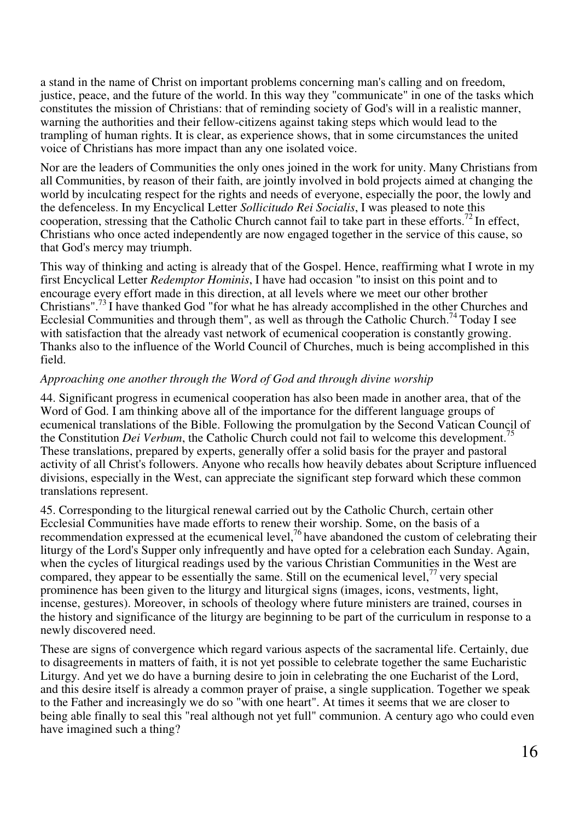a stand in the name of Christ on important problems concerning man's calling and on freedom, justice, peace, and the future of the world. In this way they "communicate" in one of the tasks which constitutes the mission of Christians: that of reminding society of God's will in a realistic manner, warning the authorities and their fellow-citizens against taking steps which would lead to the trampling of human rights. It is clear, as experience shows, that in some circumstances the united voice of Christians has more impact than any one isolated voice.

Nor are the leaders of Communities the only ones joined in the work for unity. Many Christians from all Communities, by reason of their faith, are jointly involved in bold projects aimed at changing the world by inculcating respect for the rights and needs of everyone, especially the poor, the lowly and the defenceless. In my Encyclical Letter *Sollicitudo Rei Socialis*, I was pleased to note this cooperation, stressing that the Catholic Church cannot fail to take part in these efforts.<sup>72</sup> In effect, Christians who once acted independently are now engaged together in the service of this cause, so that God's mercy may triumph.

This way of thinking and acting is already that of the Gospel. Hence, reaffirming what I wrote in my first Encyclical Letter *Redemptor Hominis*, I have had occasion "to insist on this point and to encourage every effort made in this direction, at all levels where we meet our other brother Christians".<sup>73</sup>I have thanked God "for what he has already accomplished in the other Churches and Ecclesial Communities and through them", as well as through the Catholic Church.<sup>74</sup> Today I see with satisfaction that the already vast network of ecumenical cooperation is constantly growing. Thanks also to the influence of the World Council of Churches, much is being accomplished in this field.

# *Approaching one another through the Word of God and through divine worship*

44. Significant progress in ecumenical cooperation has also been made in another area, that of the Word of God. I am thinking above all of the importance for the different language groups of ecumenical translations of the Bible. Following the promulgation by the Second Vatican Council of the Constitution *Dei Verbum*, the Catholic Church could not fail to welcome this development.<sup>75</sup> These translations, prepared by experts, generally offer a solid basis for the prayer and pastoral activity of all Christ's followers. Anyone who recalls how heavily debates about Scripture influenced divisions, especially in the West, can appreciate the significant step forward which these common translations represent.

45. Corresponding to the liturgical renewal carried out by the Catholic Church, certain other Ecclesial Communities have made efforts to renew their worship. Some, on the basis of a recommendation expressed at the ecumenical level,<sup>76</sup> have abandoned the custom of celebrating their liturgy of the Lord's Supper only infrequently and have opted for a celebration each Sunday. Again, when the cycles of liturgical readings used by the various Christian Communities in the West are compared, they appear to be essentially the same. Still on the ecumenical level, $^{77}$  very special prominence has been given to the liturgy and liturgical signs (images, icons, vestments, light, incense, gestures). Moreover, in schools of theology where future ministers are trained, courses in the history and significance of the liturgy are beginning to be part of the curriculum in response to a newly discovered need.

These are signs of convergence which regard various aspects of the sacramental life. Certainly, due to disagreements in matters of faith, it is not yet possible to celebrate together the same Eucharistic Liturgy. And yet we do have a burning desire to join in celebrating the one Eucharist of the Lord, and this desire itself is already a common prayer of praise, a single supplication. Together we speak to the Father and increasingly we do so "with one heart". At times it seems that we are closer to being able finally to seal this "real although not yet full" communion. A century ago who could even have imagined such a thing?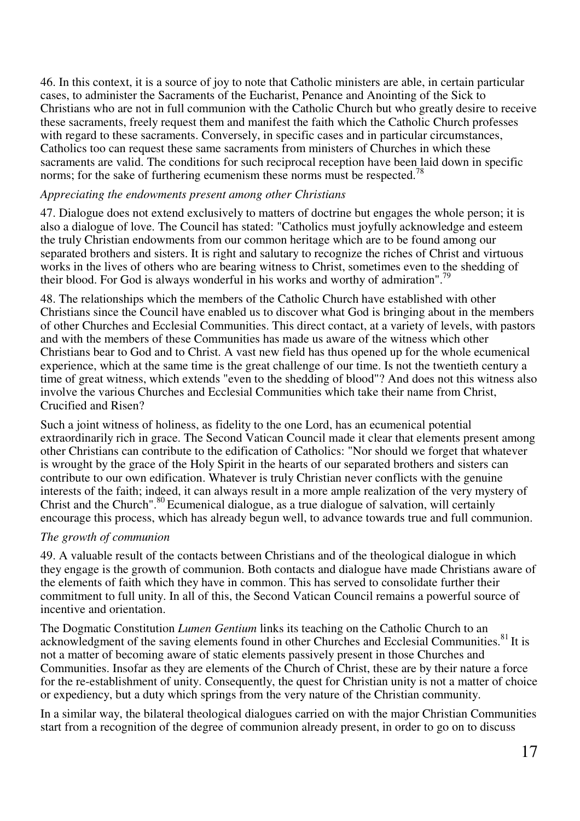46. In this context, it is a source of joy to note that Catholic ministers are able, in certain particular cases, to administer the Sacraments of the Eucharist, Penance and Anointing of the Sick to Christians who are not in full communion with the Catholic Church but who greatly desire to receive these sacraments, freely request them and manifest the faith which the Catholic Church professes with regard to these sacraments. Conversely, in specific cases and in particular circumstances, Catholics too can request these same sacraments from ministers of Churches in which these sacraments are valid. The conditions for such reciprocal reception have been laid down in specific norms; for the sake of furthering ecumenism these norms must be respected.<sup>78</sup>

## *Appreciating the endowments present among other Christians*

47. Dialogue does not extend exclusively to matters of doctrine but engages the whole person; it is also a dialogue of love. The Council has stated: "Catholics must joyfully acknowledge and esteem the truly Christian endowments from our common heritage which are to be found among our separated brothers and sisters. It is right and salutary to recognize the riches of Christ and virtuous works in the lives of others who are bearing witness to Christ, sometimes even to the shedding of their blood. For God is always wonderful in his works and worthy of admiration".<sup>79</sup>

48. The relationships which the members of the Catholic Church have established with other Christians since the Council have enabled us to discover what God is bringing about in the members of other Churches and Ecclesial Communities. This direct contact, at a variety of levels, with pastors and with the members of these Communities has made us aware of the witness which other Christians bear to God and to Christ. A vast new field has thus opened up for the whole ecumenical experience, which at the same time is the great challenge of our time. Is not the twentieth century a time of great witness, which extends "even to the shedding of blood"? And does not this witness also involve the various Churches and Ecclesial Communities which take their name from Christ, Crucified and Risen?

Such a joint witness of holiness, as fidelity to the one Lord, has an ecumenical potential extraordinarily rich in grace. The Second Vatican Council made it clear that elements present among other Christians can contribute to the edification of Catholics: "Nor should we forget that whatever is wrought by the grace of the Holy Spirit in the hearts of our separated brothers and sisters can contribute to our own edification. Whatever is truly Christian never conflicts with the genuine interests of the faith; indeed, it can always result in a more ample realization of the very mystery of Christ and the Church". $80$  Ecumenical dialogue, as a true dialogue of salvation, will certainly encourage this process, which has already begun well, to advance towards true and full communion.

## *The growth of communion*

49. A valuable result of the contacts between Christians and of the theological dialogue in which they engage is the growth of communion. Both contacts and dialogue have made Christians aware of the elements of faith which they have in common. This has served to consolidate further their commitment to full unity. In all of this, the Second Vatican Council remains a powerful source of incentive and orientation.

The Dogmatic Constitution *Lumen Gentium* links its teaching on the Catholic Church to an acknowledgment of the saving elements found in other Churches and Ecclesial Communities.<sup>81</sup> It is not a matter of becoming aware of static elements passively present in those Churches and Communities. Insofar as they are elements of the Church of Christ, these are by their nature a force for the re-establishment of unity. Consequently, the quest for Christian unity is not a matter of choice or expediency, but a duty which springs from the very nature of the Christian community.

In a similar way, the bilateral theological dialogues carried on with the major Christian Communities start from a recognition of the degree of communion already present, in order to go on to discuss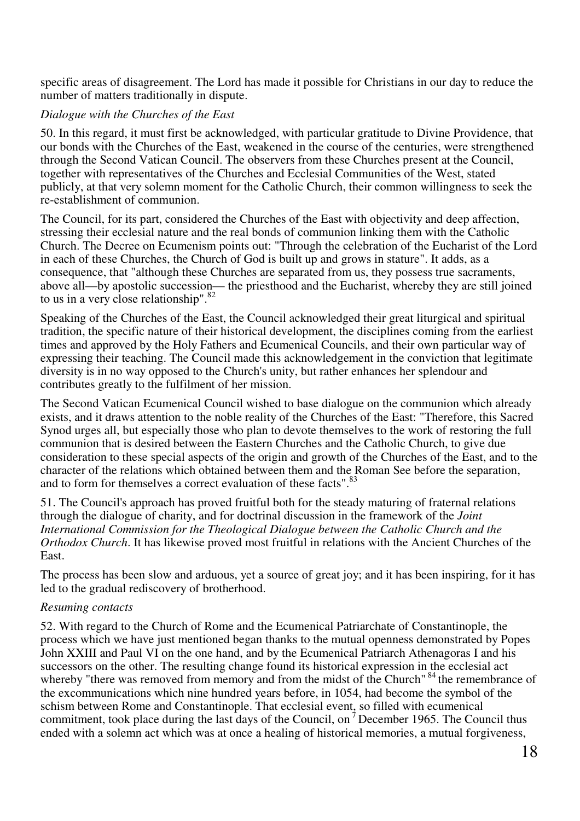specific areas of disagreement. The Lord has made it possible for Christians in our day to reduce the number of matters traditionally in dispute.

## *Dialogue with the Churches of the East*

50. In this regard, it must first be acknowledged, with particular gratitude to Divine Providence, that our bonds with the Churches of the East, weakened in the course of the centuries, were strengthened through the Second Vatican Council. The observers from these Churches present at the Council, together with representatives of the Churches and Ecclesial Communities of the West, stated publicly, at that very solemn moment for the Catholic Church, their common willingness to seek the re-establishment of communion.

The Council, for its part, considered the Churches of the East with objectivity and deep affection, stressing their ecclesial nature and the real bonds of communion linking them with the Catholic Church. The Decree on Ecumenism points out: "Through the celebration of the Eucharist of the Lord in each of these Churches, the Church of God is built up and grows in stature". It adds, as a consequence, that "although these Churches are separated from us, they possess true sacraments, above all—by apostolic succession— the priesthood and the Eucharist, whereby they are still joined to us in a very close relationship". $^{82}$ 

Speaking of the Churches of the East, the Council acknowledged their great liturgical and spiritual tradition, the specific nature of their historical development, the disciplines coming from the earliest times and approved by the Holy Fathers and Ecumenical Councils, and their own particular way of expressing their teaching. The Council made this acknowledgement in the conviction that legitimate diversity is in no way opposed to the Church's unity, but rather enhances her splendour and contributes greatly to the fulfilment of her mission.

The Second Vatican Ecumenical Council wished to base dialogue on the communion which already exists, and it draws attention to the noble reality of the Churches of the East: "Therefore, this Sacred Synod urges all, but especially those who plan to devote themselves to the work of restoring the full communion that is desired between the Eastern Churches and the Catholic Church, to give due consideration to these special aspects of the origin and growth of the Churches of the East, and to the character of the relations which obtained between them and the Roman See before the separation, and to form for themselves a correct evaluation of these facts".<sup>83</sup>

51. The Council's approach has proved fruitful both for the steady maturing of fraternal relations through the dialogue of charity, and for doctrinal discussion in the framework of the *Joint International Commission for the Theological Dialogue between the Catholic Church and the Orthodox Church*. It has likewise proved most fruitful in relations with the Ancient Churches of the East.

The process has been slow and arduous, yet a source of great joy; and it has been inspiring, for it has led to the gradual rediscovery of brotherhood.

#### *Resuming contacts*

52. With regard to the Church of Rome and the Ecumenical Patriarchate of Constantinople, the process which we have just mentioned began thanks to the mutual openness demonstrated by Popes John XXIII and Paul VI on the one hand, and by the Ecumenical Patriarch Athenagoras I and his successors on the other. The resulting change found its historical expression in the ecclesial act whereby "there was removed from memory and from the midst of the Church"<sup>84</sup> the remembrance of the excommunications which nine hundred years before, in 1054, had become the symbol of the schism between Rome and Constantinople. That ecclesial event, so filled with ecumenical commitment, took place during the last days of the Council, on  $\overline{'}$  December 1965. The Council thus ended with a solemn act which was at once a healing of historical memories, a mutual forgiveness,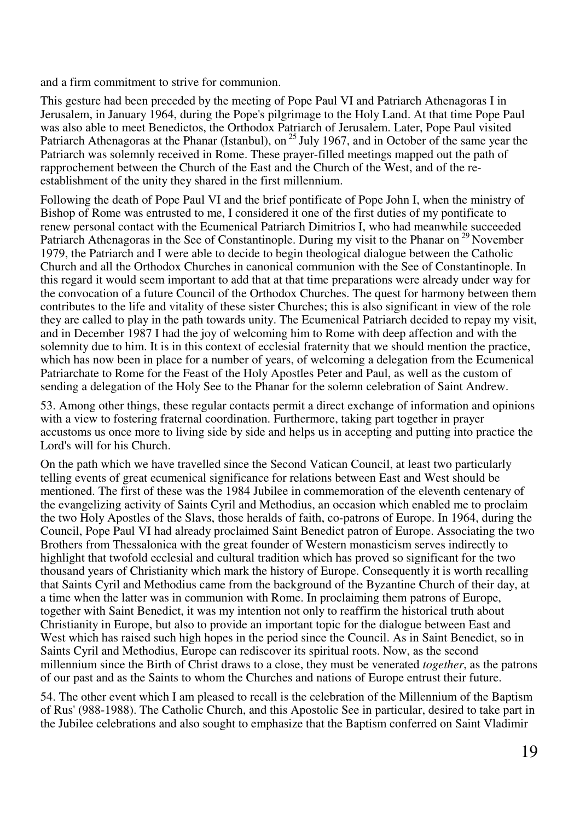and a firm commitment to strive for communion.

This gesture had been preceded by the meeting of Pope Paul VI and Patriarch Athenagoras I in Jerusalem, in January 1964, during the Pope's pilgrimage to the Holy Land. At that time Pope Paul was also able to meet Benedictos, the Orthodox Patriarch of Jerusalem. Later, Pope Paul visited Patriarch Athenagoras at the Phanar (Istanbul), on <sup>25</sup> July 1967, and in October of the same year the Patriarch was solemnly received in Rome. These prayer-filled meetings mapped out the path of rapprochement between the Church of the East and the Church of the West, and of the reestablishment of the unity they shared in the first millennium.

Following the death of Pope Paul VI and the brief pontificate of Pope John I, when the ministry of Bishop of Rome was entrusted to me, I considered it one of the first duties of my pontificate to renew personal contact with the Ecumenical Patriarch Dimitrios I, who had meanwhile succeeded Patriarch Athenagoras in the See of Constantinople. During my visit to the Phanar on<sup>29</sup> November 1979, the Patriarch and I were able to decide to begin theological dialogue between the Catholic Church and all the Orthodox Churches in canonical communion with the See of Constantinople. In this regard it would seem important to add that at that time preparations were already under way for the convocation of a future Council of the Orthodox Churches. The quest for harmony between them contributes to the life and vitality of these sister Churches; this is also significant in view of the role they are called to play in the path towards unity. The Ecumenical Patriarch decided to repay my visit, and in December 1987 I had the joy of welcoming him to Rome with deep affection and with the solemnity due to him. It is in this context of ecclesial fraternity that we should mention the practice, which has now been in place for a number of years, of welcoming a delegation from the Ecumenical Patriarchate to Rome for the Feast of the Holy Apostles Peter and Paul, as well as the custom of sending a delegation of the Holy See to the Phanar for the solemn celebration of Saint Andrew.

53. Among other things, these regular contacts permit a direct exchange of information and opinions with a view to fostering fraternal coordination. Furthermore, taking part together in prayer accustoms us once more to living side by side and helps us in accepting and putting into practice the Lord's will for his Church.

On the path which we have travelled since the Second Vatican Council, at least two particularly telling events of great ecumenical significance for relations between East and West should be mentioned. The first of these was the 1984 Jubilee in commemoration of the eleventh centenary of the evangelizing activity of Saints Cyril and Methodius, an occasion which enabled me to proclaim the two Holy Apostles of the Slavs, those heralds of faith, co-patrons of Europe. In 1964, during the Council, Pope Paul VI had already proclaimed Saint Benedict patron of Europe. Associating the two Brothers from Thessalonica with the great founder of Western monasticism serves indirectly to highlight that twofold ecclesial and cultural tradition which has proved so significant for the two thousand years of Christianity which mark the history of Europe. Consequently it is worth recalling that Saints Cyril and Methodius came from the background of the Byzantine Church of their day, at a time when the latter was in communion with Rome. In proclaiming them patrons of Europe, together with Saint Benedict, it was my intention not only to reaffirm the historical truth about Christianity in Europe, but also to provide an important topic for the dialogue between East and West which has raised such high hopes in the period since the Council. As in Saint Benedict, so in Saints Cyril and Methodius, Europe can rediscover its spiritual roots. Now, as the second millennium since the Birth of Christ draws to a close, they must be venerated *together*, as the patrons of our past and as the Saints to whom the Churches and nations of Europe entrust their future.

54. The other event which I am pleased to recall is the celebration of the Millennium of the Baptism of Rus' (988-1988). The Catholic Church, and this Apostolic See in particular, desired to take part in the Jubilee celebrations and also sought to emphasize that the Baptism conferred on Saint Vladimir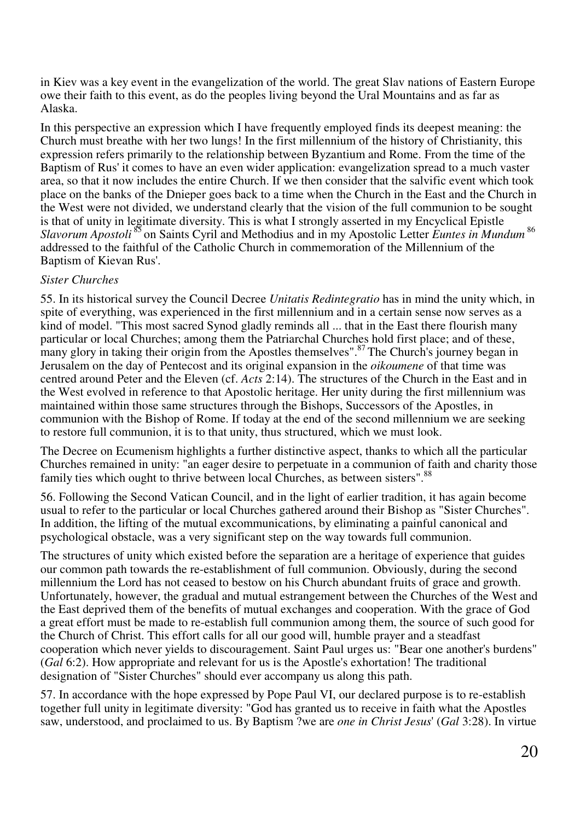in Kiev was a key event in the evangelization of the world. The great Slav nations of Eastern Europe owe their faith to this event, as do the peoples living beyond the Ural Mountains and as far as Alaska.

In this perspective an expression which I have frequently employed finds its deepest meaning: the Church must breathe with her two lungs! In the first millennium of the history of Christianity, this expression refers primarily to the relationship between Byzantium and Rome. From the time of the Baptism of Rus' it comes to have an even wider application: evangelization spread to a much vaster area, so that it now includes the entire Church. If we then consider that the salvific event which took place on the banks of the Dnieper goes back to a time when the Church in the East and the Church in the West were not divided, we understand clearly that the vision of the full communion to be sought is that of unity in legitimate diversity. This is what I strongly asserted in my Encyclical Epistle *Slavorum Apostoli*<sup>85</sup> on Saints Cyril and Methodius and in my Apostolic Letter *Euntes in Mundum*<sup>86</sup> addressed to the faithful of the Catholic Church in commemoration of the Millennium of the Baptism of Kievan Rus'.

# *Sister Churches*

55. In its historical survey the Council Decree *Unitatis Redintegratio* has in mind the unity which, in spite of everything, was experienced in the first millennium and in a certain sense now serves as a kind of model. "This most sacred Synod gladly reminds all ... that in the East there flourish many particular or local Churches; among them the Patriarchal Churches hold first place; and of these, many glory in taking their origin from the Apostles themselves".<sup>87</sup> The Church's journey began in Jerusalem on the day of Pentecost and its original expansion in the *oikoumene* of that time was centred around Peter and the Eleven (cf. *Acts* 2:14). The structures of the Church in the East and in the West evolved in reference to that Apostolic heritage. Her unity during the first millennium was maintained within those same structures through the Bishops, Successors of the Apostles, in communion with the Bishop of Rome. If today at the end of the second millennium we are seeking to restore full communion, it is to that unity, thus structured, which we must look.

The Decree on Ecumenism highlights a further distinctive aspect, thanks to which all the particular Churches remained in unity: "an eager desire to perpetuate in a communion of faith and charity those family ties which ought to thrive between local Churches, as between sisters".<sup>88</sup>

56. Following the Second Vatican Council, and in the light of earlier tradition, it has again become usual to refer to the particular or local Churches gathered around their Bishop as "Sister Churches". In addition, the lifting of the mutual excommunications, by eliminating a painful canonical and psychological obstacle, was a very significant step on the way towards full communion.

The structures of unity which existed before the separation are a heritage of experience that guides our common path towards the re-establishment of full communion. Obviously, during the second millennium the Lord has not ceased to bestow on his Church abundant fruits of grace and growth. Unfortunately, however, the gradual and mutual estrangement between the Churches of the West and the East deprived them of the benefits of mutual exchanges and cooperation. With the grace of God a great effort must be made to re-establish full communion among them, the source of such good for the Church of Christ. This effort calls for all our good will, humble prayer and a steadfast cooperation which never yields to discouragement. Saint Paul urges us: "Bear one another's burdens" (*Gal* 6:2). How appropriate and relevant for us is the Apostle's exhortation! The traditional designation of "Sister Churches" should ever accompany us along this path.

57. In accordance with the hope expressed by Pope Paul VI, our declared purpose is to re-establish together full unity in legitimate diversity: "God has granted us to receive in faith what the Apostles saw, understood, and proclaimed to us. By Baptism ?we are *one in Christ Jesus*' (*Gal* 3:28). In virtue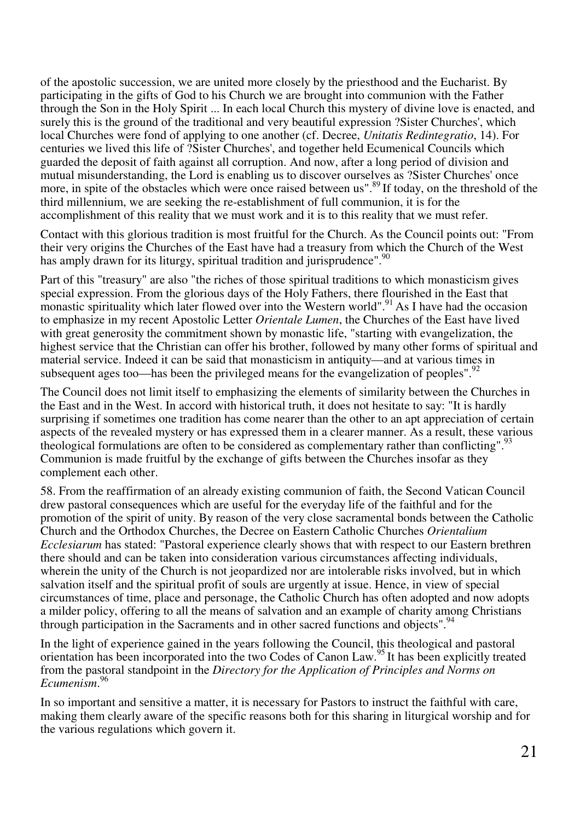of the apostolic succession, we are united more closely by the priesthood and the Eucharist. By participating in the gifts of God to his Church we are brought into communion with the Father through the Son in the Holy Spirit ... In each local Church this mystery of divine love is enacted, and surely this is the ground of the traditional and very beautiful expression ?Sister Churches', which local Churches were fond of applying to one another (cf. Decree, *Unitatis Redintegratio*, 14). For centuries we lived this life of ?Sister Churches', and together held Ecumenical Councils which guarded the deposit of faith against all corruption. And now, after a long period of division and mutual misunderstanding, the Lord is enabling us to discover ourselves as ?Sister Churches' once more, in spite of the obstacles which were once raised between us". $^{89}$  If today, on the threshold of the third millennium, we are seeking the re-establishment of full communion, it is for the accomplishment of this reality that we must work and it is to this reality that we must refer.

Contact with this glorious tradition is most fruitful for the Church. As the Council points out: "From their very origins the Churches of the East have had a treasury from which the Church of the West has amply drawn for its liturgy, spiritual tradition and jurisprudence".  $90$ 

Part of this "treasury" are also "the riches of those spiritual traditions to which monasticism gives special expression. From the glorious days of the Holy Fathers, there flourished in the East that monastic spirituality which later flowed over into the Western world". As I have had the occasion to emphasize in my recent Apostolic Letter *Orientale Lumen*, the Churches of the East have lived with great generosity the commitment shown by monastic life, "starting with evangelization, the highest service that the Christian can offer his brother, followed by many other forms of spiritual and material service. Indeed it can be said that monasticism in antiquity—and at various times in subsequent ages too—has been the privileged means for the evangelization of peoples".<sup>92</sup>

The Council does not limit itself to emphasizing the elements of similarity between the Churches in the East and in the West. In accord with historical truth, it does not hesitate to say: "It is hardly surprising if sometimes one tradition has come nearer than the other to an apt appreciation of certain aspects of the revealed mystery or has expressed them in a clearer manner. As a result, these various theological formulations are often to be considered as complementary rather than conflicting".  $93$ Communion is made fruitful by the exchange of gifts between the Churches insofar as they complement each other.

58. From the reaffirmation of an already existing communion of faith, the Second Vatican Council drew pastoral consequences which are useful for the everyday life of the faithful and for the promotion of the spirit of unity. By reason of the very close sacramental bonds between the Catholic Church and the Orthodox Churches, the Decree on Eastern Catholic Churches *Orientalium Ecclesiarum* has stated: "Pastoral experience clearly shows that with respect to our Eastern brethren there should and can be taken into consideration various circumstances affecting individuals, wherein the unity of the Church is not jeopardized nor are intolerable risks involved, but in which salvation itself and the spiritual profit of souls are urgently at issue. Hence, in view of special circumstances of time, place and personage, the Catholic Church has often adopted and now adopts a milder policy, offering to all the means of salvation and an example of charity among Christians through participation in the Sacraments and in other sacred functions and objects".<sup>94</sup>

In the light of experience gained in the years following the Council, this theological and pastoral orientation has been incorporated into the two Codes of Canon Law.<sup>95</sup> It has been explicitly treated from the pastoral standpoint in the *Directory for the Application of Principles and Norms on Ecumenism*. 96

In so important and sensitive a matter, it is necessary for Pastors to instruct the faithful with care, making them clearly aware of the specific reasons both for this sharing in liturgical worship and for the various regulations which govern it.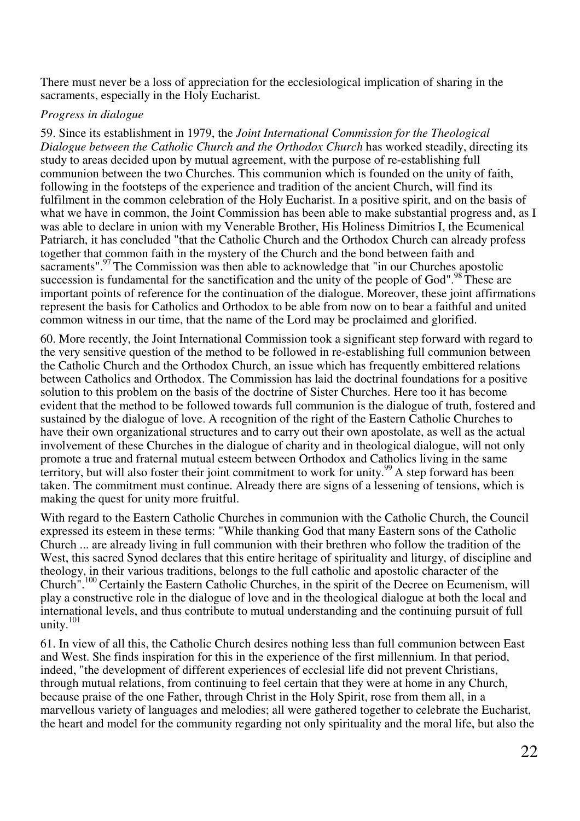There must never be a loss of appreciation for the ecclesiological implication of sharing in the sacraments, especially in the Holy Eucharist.

#### *Progress in dialogue*

59. Since its establishment in 1979, the *Joint International Commission for the Theological Dialogue between the Catholic Church and the Orthodox Church* has worked steadily, directing its study to areas decided upon by mutual agreement, with the purpose of re-establishing full communion between the two Churches. This communion which is founded on the unity of faith, following in the footsteps of the experience and tradition of the ancient Church, will find its fulfilment in the common celebration of the Holy Eucharist. In a positive spirit, and on the basis of what we have in common, the Joint Commission has been able to make substantial progress and, as I was able to declare in union with my Venerable Brother, His Holiness Dimitrios I, the Ecumenical Patriarch, it has concluded "that the Catholic Church and the Orthodox Church can already profess together that common faith in the mystery of the Church and the bond between faith and sacraments".<sup>97</sup>The Commission was then able to acknowledge that "in our Churches apostolic succession is fundamental for the sanctification and the unity of the people of God".<sup>98</sup>These are important points of reference for the continuation of the dialogue. Moreover, these joint affirmations represent the basis for Catholics and Orthodox to be able from now on to bear a faithful and united common witness in our time, that the name of the Lord may be proclaimed and glorified.

60. More recently, the Joint International Commission took a significant step forward with regard to the very sensitive question of the method to be followed in re-establishing full communion between the Catholic Church and the Orthodox Church, an issue which has frequently embittered relations between Catholics and Orthodox. The Commission has laid the doctrinal foundations for a positive solution to this problem on the basis of the doctrine of Sister Churches. Here too it has become evident that the method to be followed towards full communion is the dialogue of truth, fostered and sustained by the dialogue of love. A recognition of the right of the Eastern Catholic Churches to have their own organizational structures and to carry out their own apostolate, as well as the actual involvement of these Churches in the dialogue of charity and in theological dialogue, will not only promote a true and fraternal mutual esteem between Orthodox and Catholics living in the same territory, but will also foster their joint commitment to work for unity.<sup>99</sup> A step forward has been taken. The commitment must continue. Already there are signs of a lessening of tensions, which is making the quest for unity more fruitful.

With regard to the Eastern Catholic Churches in communion with the Catholic Church, the Council expressed its esteem in these terms: "While thanking God that many Eastern sons of the Catholic Church ... are already living in full communion with their brethren who follow the tradition of the West, this sacred Synod declares that this entire heritage of spirituality and liturgy, of discipline and theology, in their various traditions, belongs to the full catholic and apostolic character of the Church".<sup>100</sup> Certainly the Eastern Catholic Churches, in the spirit of the Decree on Ecumenism, will play a constructive role in the dialogue of love and in the theological dialogue at both the local and international levels, and thus contribute to mutual understanding and the continuing pursuit of full unity.<sup>101</sup>

61. In view of all this, the Catholic Church desires nothing less than full communion between East and West. She finds inspiration for this in the experience of the first millennium. In that period, indeed, "the development of different experiences of ecclesial life did not prevent Christians, through mutual relations, from continuing to feel certain that they were at home in any Church, because praise of the one Father, through Christ in the Holy Spirit, rose from them all, in a marvellous variety of languages and melodies; all were gathered together to celebrate the Eucharist, the heart and model for the community regarding not only spirituality and the moral life, but also the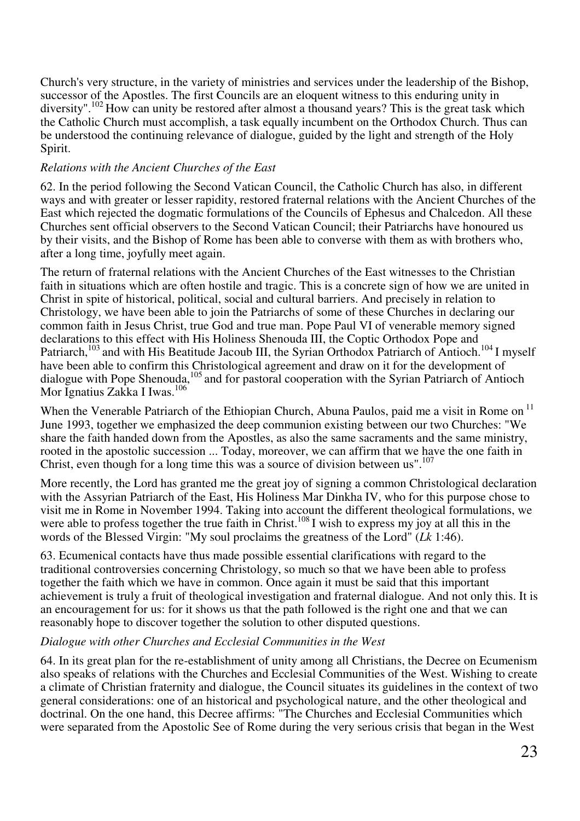Church's very structure, in the variety of ministries and services under the leadership of the Bishop, successor of the Apostles. The first Councils are an eloquent witness to this enduring unity in diversity".<sup>102</sup> How can unity be restored after almost a thousand years? This is the great task which the Catholic Church must accomplish, a task equally incumbent on the Orthodox Church. Thus can be understood the continuing relevance of dialogue, guided by the light and strength of the Holy Spirit.

# *Relations with the Ancient Churches of the East*

62. In the period following the Second Vatican Council, the Catholic Church has also, in different ways and with greater or lesser rapidity, restored fraternal relations with the Ancient Churches of the East which rejected the dogmatic formulations of the Councils of Ephesus and Chalcedon. All these Churches sent official observers to the Second Vatican Council; their Patriarchs have honoured us by their visits, and the Bishop of Rome has been able to converse with them as with brothers who, after a long time, joyfully meet again.

The return of fraternal relations with the Ancient Churches of the East witnesses to the Christian faith in situations which are often hostile and tragic. This is a concrete sign of how we are united in Christ in spite of historical, political, social and cultural barriers. And precisely in relation to Christology, we have been able to join the Patriarchs of some of these Churches in declaring our common faith in Jesus Christ, true God and true man. Pope Paul VI of venerable memory signed declarations to this effect with His Holiness Shenouda III, the Coptic Orthodox Pope and Patriarch,<sup>103</sup> and with His Beatitude Jacoub III, the Syrian Orthodox Patriarch of Antioch.<sup>104</sup> I myself have been able to confirm this Christological agreement and draw on it for the development of dialogue with Pope Shenouda,<sup>105</sup> and for pastoral cooperation with the Syrian Patriarch of Antioch Mor Ignatius Zakka I Iwas.<sup>106</sup>

When the Venerable Patriarch of the Ethiopian Church, Abuna Paulos, paid me a visit in Rome on  $<sup>11</sup>$ </sup> June 1993, together we emphasized the deep communion existing between our two Churches: "We share the faith handed down from the Apostles, as also the same sacraments and the same ministry, rooted in the apostolic succession ... Today, moreover, we can affirm that we have the one faith in Christ, even though for a long time this was a source of division between us".<sup>107</sup>

More recently, the Lord has granted me the great joy of signing a common Christological declaration with the Assyrian Patriarch of the East, His Holiness Mar Dinkha IV, who for this purpose chose to visit me in Rome in November 1994. Taking into account the different theological formulations, we were able to profess together the true faith in Christ.<sup>108</sup> I wish to express my joy at all this in the words of the Blessed Virgin: "My soul proclaims the greatness of the Lord" (*Lk* 1:46).

63. Ecumenical contacts have thus made possible essential clarifications with regard to the traditional controversies concerning Christology, so much so that we have been able to profess together the faith which we have in common. Once again it must be said that this important achievement is truly a fruit of theological investigation and fraternal dialogue. And not only this. It is an encouragement for us: for it shows us that the path followed is the right one and that we can reasonably hope to discover together the solution to other disputed questions.

## *Dialogue with other Churches and Ecclesial Communities in the West*

64. In its great plan for the re-establishment of unity among all Christians, the Decree on Ecumenism also speaks of relations with the Churches and Ecclesial Communities of the West. Wishing to create a climate of Christian fraternity and dialogue, the Council situates its guidelines in the context of two general considerations: one of an historical and psychological nature, and the other theological and doctrinal. On the one hand, this Decree affirms: "The Churches and Ecclesial Communities which were separated from the Apostolic See of Rome during the very serious crisis that began in the West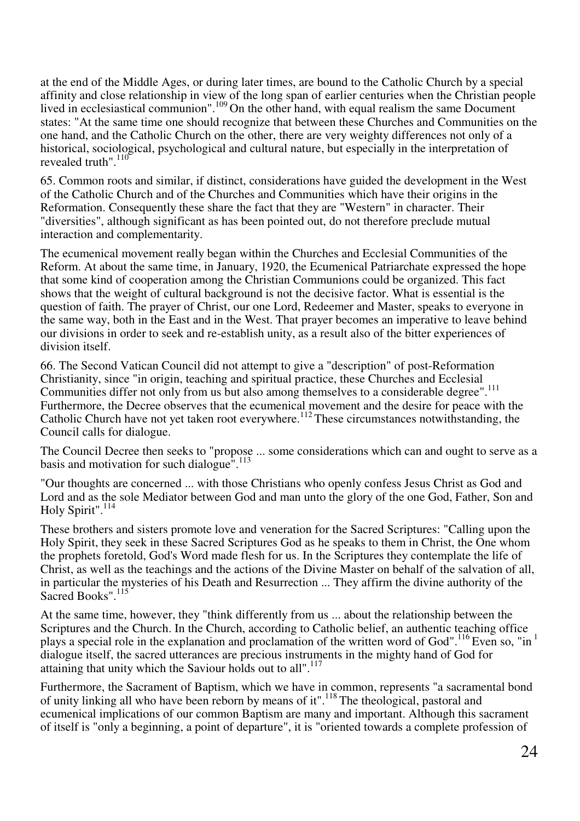at the end of the Middle Ages, or during later times, are bound to the Catholic Church by a special affinity and close relationship in view of the long span of earlier centuries when the Christian people lived in ecclesiastical communion".<sup>109</sup> On the other hand, with equal realism the same Document states: "At the same time one should recognize that between these Churches and Communities on the one hand, and the Catholic Church on the other, there are very weighty differences not only of a historical, sociological, psychological and cultural nature, but especially in the interpretation of revealed truth".<sup>110</sup>

65. Common roots and similar, if distinct, considerations have guided the development in the West of the Catholic Church and of the Churches and Communities which have their origins in the Reformation. Consequently these share the fact that they are "Western" in character. Their "diversities", although significant as has been pointed out, do not therefore preclude mutual interaction and complementarity.

The ecumenical movement really began within the Churches and Ecclesial Communities of the Reform. At about the same time, in January, 1920, the Ecumenical Patriarchate expressed the hope that some kind of cooperation among the Christian Communions could be organized. This fact shows that the weight of cultural background is not the decisive factor. What is essential is the question of faith. The prayer of Christ, our one Lord, Redeemer and Master, speaks to everyone in the same way, both in the East and in the West. That prayer becomes an imperative to leave behind our divisions in order to seek and re-establish unity, as a result also of the bitter experiences of division itself.

66. The Second Vatican Council did not attempt to give a "description" of post-Reformation Christianity, since "in origin, teaching and spiritual practice, these Churches and Ecclesial Communities differ not only from us but also among themselves to a considerable degree".<sup>111</sup> Furthermore, the Decree observes that the ecumenical movement and the desire for peace with the Catholic Church have not yet taken root everywhere.<sup>112</sup> These circumstances notwithstanding, the Council calls for dialogue.

The Council Decree then seeks to "propose ... some considerations which can and ought to serve as a basis and motivation for such dialogue". $113$ 

"Our thoughts are concerned ... with those Christians who openly confess Jesus Christ as God and Lord and as the sole Mediator between God and man unto the glory of the one God, Father, Son and Holy Spirit".<sup>114</sup>

These brothers and sisters promote love and veneration for the Sacred Scriptures: "Calling upon the Holy Spirit, they seek in these Sacred Scriptures God as he speaks to them in Christ, the One whom the prophets foretold, God's Word made flesh for us. In the Scriptures they contemplate the life of Christ, as well as the teachings and the actions of the Divine Master on behalf of the salvation of all, in particular the mysteries of his Death and Resurrection ... They affirm the divine authority of the Sacred Books".<sup>115</sup>

At the same time, however, they "think differently from us ... about the relationship between the Scriptures and the Church. In the Church, according to Catholic belief, an authentic teaching office plays a special role in the explanation and proclamation of the written word of God".<sup>116</sup>Even so, "in<sup>1</sup> dialogue itself, the sacred utterances are precious instruments in the mighty hand of God for attaining that unity which the Saviour holds out to all".<sup>117</sup>

Furthermore, the Sacrament of Baptism, which we have in common, represents "a sacramental bond of unity linking all who have been reborn by means of it".<sup>118</sup>The theological, pastoral and ecumenical implications of our common Baptism are many and important. Although this sacrament of itself is "only a beginning, a point of departure", it is "oriented towards a complete profession of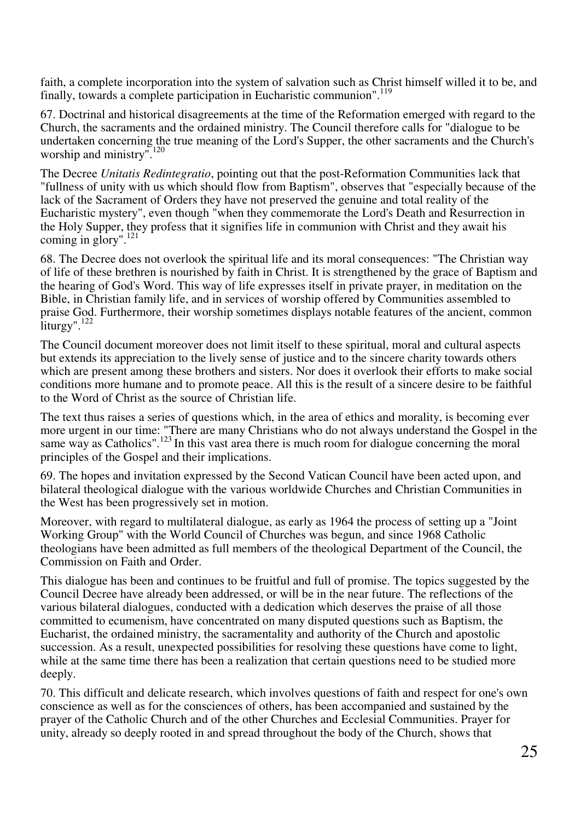faith, a complete incorporation into the system of salvation such as Christ himself willed it to be, and finally, towards a complete participation in Eucharistic communion". $^{119}$ 

67. Doctrinal and historical disagreements at the time of the Reformation emerged with regard to the Church, the sacraments and the ordained ministry. The Council therefore calls for "dialogue to be undertaken concerning the true meaning of the Lord's Supper, the other sacraments and the Church's worship and ministry".<sup>120</sup>

The Decree *Unitatis Redintegratio*, pointing out that the post-Reformation Communities lack that "fullness of unity with us which should flow from Baptism", observes that "especially because of the lack of the Sacrament of Orders they have not preserved the genuine and total reality of the Eucharistic mystery", even though "when they commemorate the Lord's Death and Resurrection in the Holy Supper, they profess that it signifies life in communion with Christ and they await his coming in glory". $^{121}$ 

68. The Decree does not overlook the spiritual life and its moral consequences: "The Christian way of life of these brethren is nourished by faith in Christ. It is strengthened by the grace of Baptism and the hearing of God's Word. This way of life expresses itself in private prayer, in meditation on the Bible, in Christian family life, and in services of worship offered by Communities assembled to praise God. Furthermore, their worship sometimes displays notable features of the ancient, common  $liturgy"$ .<sup>122</sup>

The Council document moreover does not limit itself to these spiritual, moral and cultural aspects but extends its appreciation to the lively sense of justice and to the sincere charity towards others which are present among these brothers and sisters. Nor does it overlook their efforts to make social conditions more humane and to promote peace. All this is the result of a sincere desire to be faithful to the Word of Christ as the source of Christian life.

The text thus raises a series of questions which, in the area of ethics and morality, is becoming ever more urgent in our time: "There are many Christians who do not always understand the Gospel in the same way as Catholics".<sup>123</sup>In this vast area there is much room for dialogue concerning the moral principles of the Gospel and their implications.

69. The hopes and invitation expressed by the Second Vatican Council have been acted upon, and bilateral theological dialogue with the various worldwide Churches and Christian Communities in the West has been progressively set in motion.

Moreover, with regard to multilateral dialogue, as early as 1964 the process of setting up a "Joint Working Group" with the World Council of Churches was begun, and since 1968 Catholic theologians have been admitted as full members of the theological Department of the Council, the Commission on Faith and Order.

This dialogue has been and continues to be fruitful and full of promise. The topics suggested by the Council Decree have already been addressed, or will be in the near future. The reflections of the various bilateral dialogues, conducted with a dedication which deserves the praise of all those committed to ecumenism, have concentrated on many disputed questions such as Baptism, the Eucharist, the ordained ministry, the sacramentality and authority of the Church and apostolic succession. As a result, unexpected possibilities for resolving these questions have come to light, while at the same time there has been a realization that certain questions need to be studied more deeply.

70. This difficult and delicate research, which involves questions of faith and respect for one's own conscience as well as for the consciences of others, has been accompanied and sustained by the prayer of the Catholic Church and of the other Churches and Ecclesial Communities. Prayer for unity, already so deeply rooted in and spread throughout the body of the Church, shows that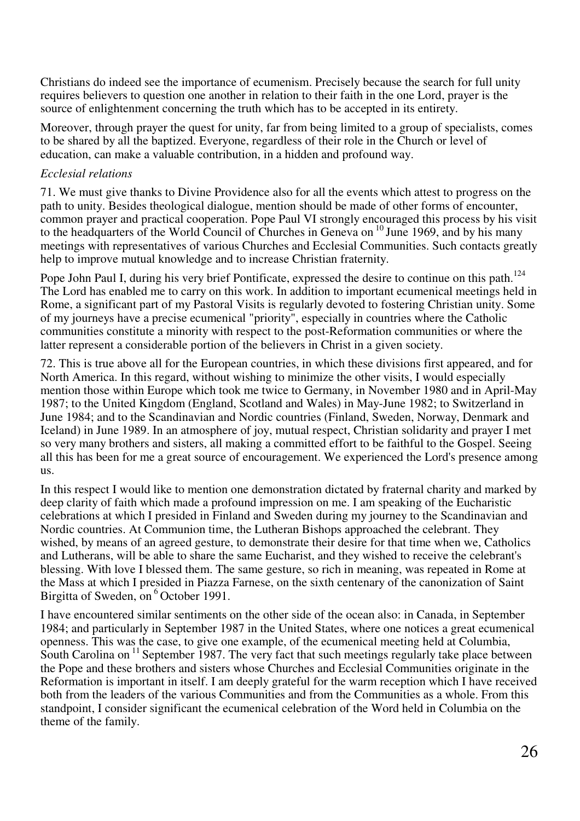Christians do indeed see the importance of ecumenism. Precisely because the search for full unity requires believers to question one another in relation to their faith in the one Lord, prayer is the source of enlightenment concerning the truth which has to be accepted in its entirety.

Moreover, through prayer the quest for unity, far from being limited to a group of specialists, comes to be shared by all the baptized. Everyone, regardless of their role in the Church or level of education, can make a valuable contribution, in a hidden and profound way.

## *Ecclesial relations*

71. We must give thanks to Divine Providence also for all the events which attest to progress on the path to unity. Besides theological dialogue, mention should be made of other forms of encounter, common prayer and practical cooperation. Pope Paul VI strongly encouraged this process by his visit to the headquarters of the World Council of Churches in Geneva on  $^{10}$  June 1969, and by his many meetings with representatives of various Churches and Ecclesial Communities. Such contacts greatly help to improve mutual knowledge and to increase Christian fraternity.

Pope John Paul I, during his very brief Pontificate, expressed the desire to continue on this path.<sup>124</sup> The Lord has enabled me to carry on this work. In addition to important ecumenical meetings held in Rome, a significant part of my Pastoral Visits is regularly devoted to fostering Christian unity. Some of my journeys have a precise ecumenical "priority", especially in countries where the Catholic communities constitute a minority with respect to the post-Reformation communities or where the latter represent a considerable portion of the believers in Christ in a given society.

72. This is true above all for the European countries, in which these divisions first appeared, and for North America. In this regard, without wishing to minimize the other visits, I would especially mention those within Europe which took me twice to Germany, in November 1980 and in April-May 1987; to the United Kingdom (England, Scotland and Wales) in May-June 1982; to Switzerland in June 1984; and to the Scandinavian and Nordic countries (Finland, Sweden, Norway, Denmark and Iceland) in June 1989. In an atmosphere of joy, mutual respect, Christian solidarity and prayer I met so very many brothers and sisters, all making a committed effort to be faithful to the Gospel. Seeing all this has been for me a great source of encouragement. We experienced the Lord's presence among us.

In this respect I would like to mention one demonstration dictated by fraternal charity and marked by deep clarity of faith which made a profound impression on me. I am speaking of the Eucharistic celebrations at which I presided in Finland and Sweden during my journey to the Scandinavian and Nordic countries. At Communion time, the Lutheran Bishops approached the celebrant. They wished, by means of an agreed gesture, to demonstrate their desire for that time when we, Catholics and Lutherans, will be able to share the same Eucharist, and they wished to receive the celebrant's blessing. With love I blessed them. The same gesture, so rich in meaning, was repeated in Rome at the Mass at which I presided in Piazza Farnese, on the sixth centenary of the canonization of Saint Birgitta of Sweden, on <sup>6</sup>October 1991.

I have encountered similar sentiments on the other side of the ocean also: in Canada, in September 1984; and particularly in September 1987 in the United States, where one notices a great ecumenical openness. This was the case, to give one example, of the ecumenical meeting held at Columbia, South Carolina on  $^{11}$  September 1987. The very fact that such meetings regularly take place between the Pope and these brothers and sisters whose Churches and Ecclesial Communities originate in the Reformation is important in itself. I am deeply grateful for the warm reception which I have received both from the leaders of the various Communities and from the Communities as a whole. From this standpoint, I consider significant the ecumenical celebration of the Word held in Columbia on the theme of the family.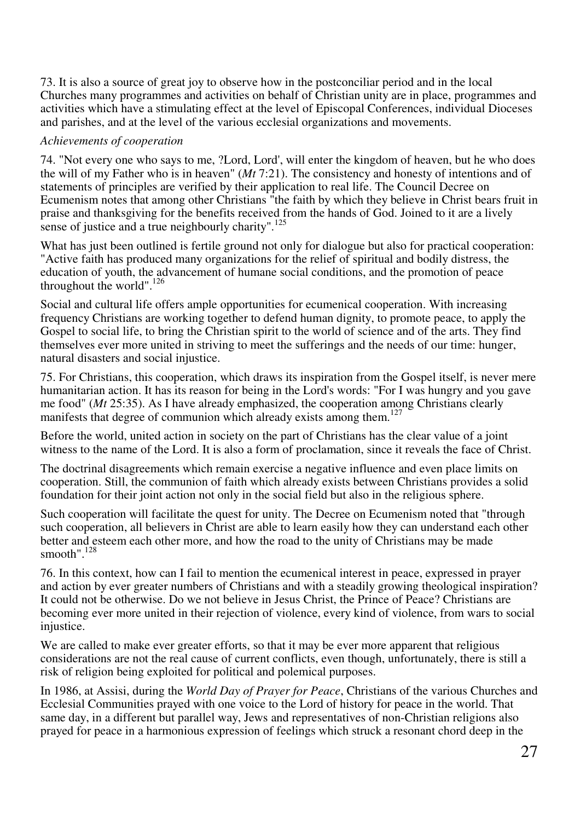73. It is also a source of great joy to observe how in the postconciliar period and in the local Churches many programmes and activities on behalf of Christian unity are in place, programmes and activities which have a stimulating effect at the level of Episcopal Conferences, individual Dioceses and parishes, and at the level of the various ecclesial organizations and movements.

# *Achievements of cooperation*

74. "Not every one who says to me, ?Lord, Lord', will enter the kingdom of heaven, but he who does the will of my Father who is in heaven" (*Mt* 7:21). The consistency and honesty of intentions and of statements of principles are verified by their application to real life. The Council Decree on Ecumenism notes that among other Christians "the faith by which they believe in Christ bears fruit in praise and thanksgiving for the benefits received from the hands of God. Joined to it are a lively sense of justice and a true neighbourly charity".<sup>125</sup>

What has just been outlined is fertile ground not only for dialogue but also for practical cooperation: "Active faith has produced many organizations for the relief of spiritual and bodily distress, the education of youth, the advancement of humane social conditions, and the promotion of peace throughout the world". $^{126}$ 

Social and cultural life offers ample opportunities for ecumenical cooperation. With increasing frequency Christians are working together to defend human dignity, to promote peace, to apply the Gospel to social life, to bring the Christian spirit to the world of science and of the arts. They find themselves ever more united in striving to meet the sufferings and the needs of our time: hunger, natural disasters and social injustice.

75. For Christians, this cooperation, which draws its inspiration from the Gospel itself, is never mere humanitarian action. It has its reason for being in the Lord's words: "For I was hungry and you gave me food" (*Mt* 25:35). As I have already emphasized, the cooperation among Christians clearly manifests that degree of communion which already exists among them.<sup>127</sup>

Before the world, united action in society on the part of Christians has the clear value of a joint witness to the name of the Lord. It is also a form of proclamation, since it reveals the face of Christ.

The doctrinal disagreements which remain exercise a negative influence and even place limits on cooperation. Still, the communion of faith which already exists between Christians provides a solid foundation for their joint action not only in the social field but also in the religious sphere.

Such cooperation will facilitate the quest for unity. The Decree on Ecumenism noted that "through such cooperation, all believers in Christ are able to learn easily how they can understand each other better and esteem each other more, and how the road to the unity of Christians may be made smooth".<sup>128</sup>

76. In this context, how can I fail to mention the ecumenical interest in peace, expressed in prayer and action by ever greater numbers of Christians and with a steadily growing theological inspiration? It could not be otherwise. Do we not believe in Jesus Christ, the Prince of Peace? Christians are becoming ever more united in their rejection of violence, every kind of violence, from wars to social injustice.

We are called to make ever greater efforts, so that it may be ever more apparent that religious considerations are not the real cause of current conflicts, even though, unfortunately, there is still a risk of religion being exploited for political and polemical purposes.

In 1986, at Assisi, during the *World Day of Prayer for Peace*, Christians of the various Churches and Ecclesial Communities prayed with one voice to the Lord of history for peace in the world. That same day, in a different but parallel way, Jews and representatives of non-Christian religions also prayed for peace in a harmonious expression of feelings which struck a resonant chord deep in the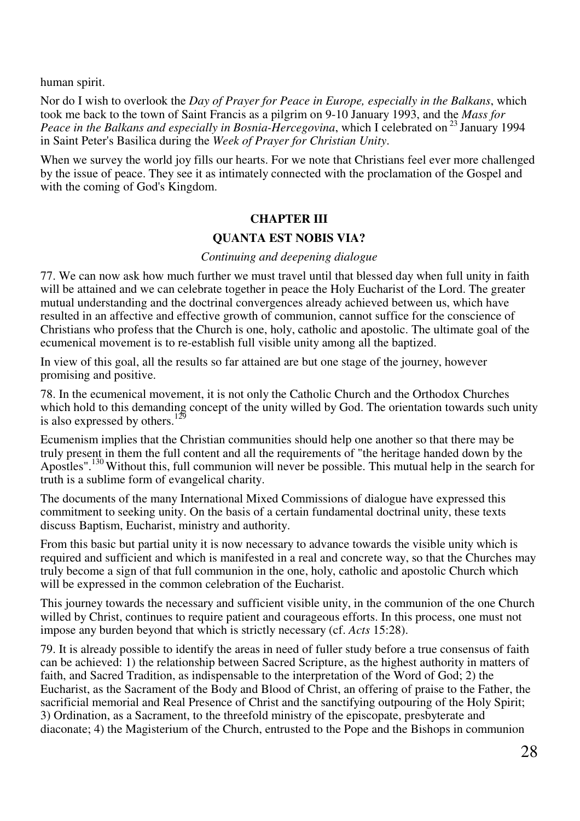human spirit.

Nor do I wish to overlook the *Day of Prayer for Peace in Europe, especially in the Balkans*, which took me back to the town of Saint Francis as a pilgrim on 9-10 January 1993, and the *Mass for Peace in the Balkans and especially in Bosnia-Hercegovina*, which I celebrated on<sup>23</sup> January 1994 in Saint Peter's Basilica during the *Week of Prayer for Christian Unity*.

When we survey the world joy fills our hearts. For we note that Christians feel ever more challenged by the issue of peace. They see it as intimately connected with the proclamation of the Gospel and with the coming of God's Kingdom.

## **CHAPTER III**

# **QUANTA EST NOBIS VIA?**

## *Continuing and deepening dialogue*

77. We can now ask how much further we must travel until that blessed day when full unity in faith will be attained and we can celebrate together in peace the Holy Eucharist of the Lord. The greater mutual understanding and the doctrinal convergences already achieved between us, which have resulted in an affective and effective growth of communion, cannot suffice for the conscience of Christians who profess that the Church is one, holy, catholic and apostolic. The ultimate goal of the ecumenical movement is to re-establish full visible unity among all the baptized.

In view of this goal, all the results so far attained are but one stage of the journey, however promising and positive.

78. In the ecumenical movement, it is not only the Catholic Church and the Orthodox Churches which hold to this demanding concept of the unity willed by God. The orientation towards such unity is also expressed by others.<sup>129</sup>

Ecumenism implies that the Christian communities should help one another so that there may be truly present in them the full content and all the requirements of "the heritage handed down by the Apostles".<sup>130</sup> Without this, full communion will never be possible. This mutual help in the search for truth is a sublime form of evangelical charity.

The documents of the many International Mixed Commissions of dialogue have expressed this commitment to seeking unity. On the basis of a certain fundamental doctrinal unity, these texts discuss Baptism, Eucharist, ministry and authority.

From this basic but partial unity it is now necessary to advance towards the visible unity which is required and sufficient and which is manifested in a real and concrete way, so that the Churches may truly become a sign of that full communion in the one, holy, catholic and apostolic Church which will be expressed in the common celebration of the Eucharist.

This journey towards the necessary and sufficient visible unity, in the communion of the one Church willed by Christ, continues to require patient and courageous efforts. In this process, one must not impose any burden beyond that which is strictly necessary (cf. *Acts* 15:28).

79. It is already possible to identify the areas in need of fuller study before a true consensus of faith can be achieved: 1) the relationship between Sacred Scripture, as the highest authority in matters of faith, and Sacred Tradition, as indispensable to the interpretation of the Word of God; 2) the Eucharist, as the Sacrament of the Body and Blood of Christ, an offering of praise to the Father, the sacrificial memorial and Real Presence of Christ and the sanctifying outpouring of the Holy Spirit; 3) Ordination, as a Sacrament, to the threefold ministry of the episcopate, presbyterate and diaconate; 4) the Magisterium of the Church, entrusted to the Pope and the Bishops in communion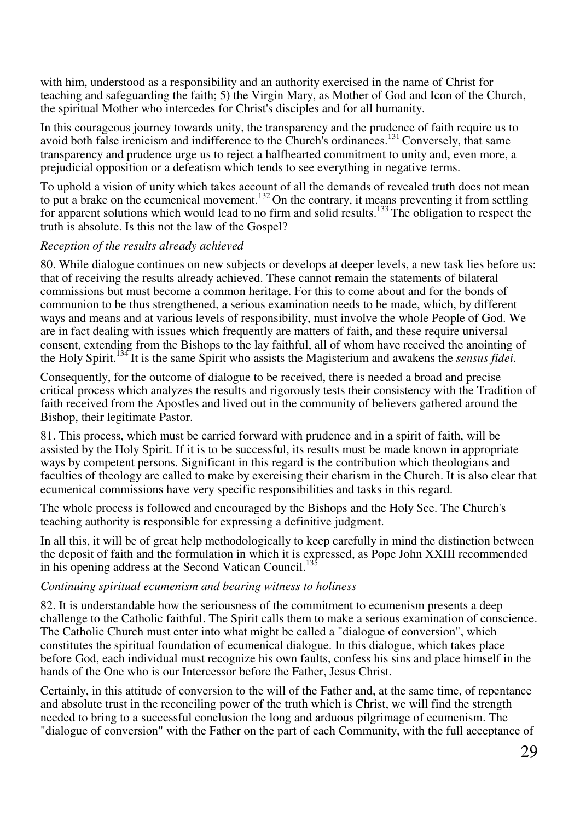with him, understood as a responsibility and an authority exercised in the name of Christ for teaching and safeguarding the faith; 5) the Virgin Mary, as Mother of God and Icon of the Church, the spiritual Mother who intercedes for Christ's disciples and for all humanity.

In this courageous journey towards unity, the transparency and the prudence of faith require us to avoid both false irenicism and indifference to the Church's ordinances.<sup>131</sup>Conversely, that same transparency and prudence urge us to reject a halfhearted commitment to unity and, even more, a prejudicial opposition or a defeatism which tends to see everything in negative terms.

To uphold a vision of unity which takes account of all the demands of revealed truth does not mean to put a brake on the ecumenical movement.<sup>132</sup> On the contrary, it means preventing it from settling for apparent solutions which would lead to no firm and solid results.<sup>133</sup>The obligation to respect the truth is absolute. Is this not the law of the Gospel?

# *Reception of the results already achieved*

80. While dialogue continues on new subjects or develops at deeper levels, a new task lies before us: that of receiving the results already achieved. These cannot remain the statements of bilateral commissions but must become a common heritage. For this to come about and for the bonds of communion to be thus strengthened, a serious examination needs to be made, which, by different ways and means and at various levels of responsibility, must involve the whole People of God. We are in fact dealing with issues which frequently are matters of faith, and these require universal consent, extending from the Bishops to the lay faithful, all of whom have received the anointing of the Holy Spirit.<sup>134</sup>It is the same Spirit who assists the Magisterium and awakens the *sensus fidei*.

Consequently, for the outcome of dialogue to be received, there is needed a broad and precise critical process which analyzes the results and rigorously tests their consistency with the Tradition of faith received from the Apostles and lived out in the community of believers gathered around the Bishop, their legitimate Pastor.

81. This process, which must be carried forward with prudence and in a spirit of faith, will be assisted by the Holy Spirit. If it is to be successful, its results must be made known in appropriate ways by competent persons. Significant in this regard is the contribution which theologians and faculties of theology are called to make by exercising their charism in the Church. It is also clear that ecumenical commissions have very specific responsibilities and tasks in this regard.

The whole process is followed and encouraged by the Bishops and the Holy See. The Church's teaching authority is responsible for expressing a definitive judgment.

In all this, it will be of great help methodologically to keep carefully in mind the distinction between the deposit of faith and the formulation in which it is expressed, as Pope John XXIII recommended in his opening address at the Second Vatican Council.<sup>135</sup>

## *Continuing spiritual ecumenism and bearing witness to holiness*

82. It is understandable how the seriousness of the commitment to ecumenism presents a deep challenge to the Catholic faithful. The Spirit calls them to make a serious examination of conscience. The Catholic Church must enter into what might be called a "dialogue of conversion", which constitutes the spiritual foundation of ecumenical dialogue. In this dialogue, which takes place before God, each individual must recognize his own faults, confess his sins and place himself in the hands of the One who is our Intercessor before the Father, Jesus Christ.

Certainly, in this attitude of conversion to the will of the Father and, at the same time, of repentance and absolute trust in the reconciling power of the truth which is Christ, we will find the strength needed to bring to a successful conclusion the long and arduous pilgrimage of ecumenism. The "dialogue of conversion" with the Father on the part of each Community, with the full acceptance of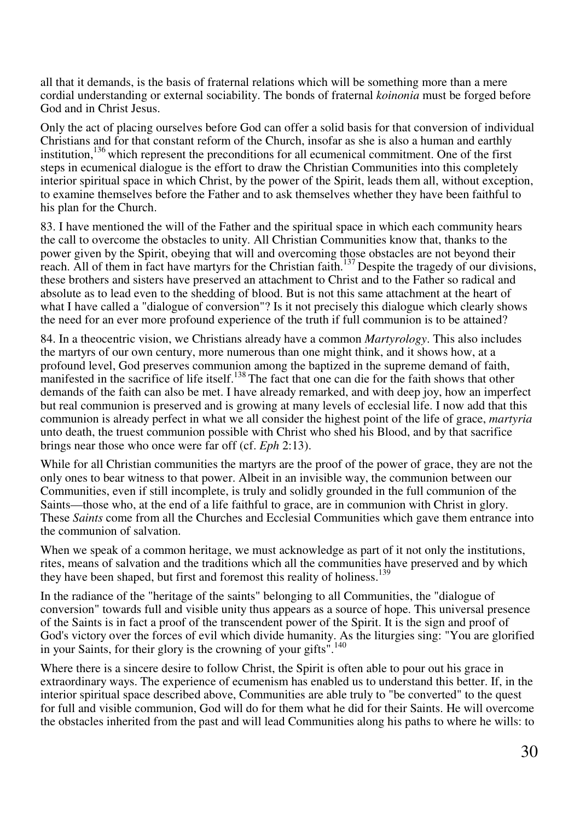all that it demands, is the basis of fraternal relations which will be something more than a mere cordial understanding or external sociability. The bonds of fraternal *koinonia* must be forged before God and in Christ Jesus.

Only the act of placing ourselves before God can offer a solid basis for that conversion of individual Christians and for that constant reform of the Church, insofar as she is also a human and earthly institution,<sup>136</sup> which represent the preconditions for all ecumenical commitment. One of the first steps in ecumenical dialogue is the effort to draw the Christian Communities into this completely interior spiritual space in which Christ, by the power of the Spirit, leads them all, without exception, to examine themselves before the Father and to ask themselves whether they have been faithful to his plan for the Church.

83. I have mentioned the will of the Father and the spiritual space in which each community hears the call to overcome the obstacles to unity. All Christian Communities know that, thanks to the power given by the Spirit, obeying that will and overcoming those obstacles are not beyond their power given by the spirit, obeying that win and overcoming those obstactes are not beyond then reach. All of them in fact have martyrs for the Christian faith.<sup>137</sup> Despite the tragedy of our divisions, these brothers and sisters have preserved an attachment to Christ and to the Father so radical and absolute as to lead even to the shedding of blood. But is not this same attachment at the heart of what I have called a "dialogue of conversion"? Is it not precisely this dialogue which clearly shows the need for an ever more profound experience of the truth if full communion is to be attained?

84. In a theocentric vision, we Christians already have a common *Martyrology*. This also includes the martyrs of our own century, more numerous than one might think, and it shows how, at a profound level, God preserves communion among the baptized in the supreme demand of faith, manifested in the sacrifice of life itself.<sup>138</sup> The fact that one can die for the faith shows that other demands of the faith can also be met. I have already remarked, and with deep joy, how an imperfect but real communion is preserved and is growing at many levels of ecclesial life. I now add that this communion is already perfect in what we all consider the highest point of the life of grace, *martyria* unto death, the truest communion possible with Christ who shed his Blood, and by that sacrifice brings near those who once were far off (cf. *Eph* 2:13).

While for all Christian communities the martyrs are the proof of the power of grace, they are not the only ones to bear witness to that power. Albeit in an invisible way, the communion between our Communities, even if still incomplete, is truly and solidly grounded in the full communion of the Saints—those who, at the end of a life faithful to grace, are in communion with Christ in glory. These *Saints* come from all the Churches and Ecclesial Communities which gave them entrance into the communion of salvation.

When we speak of a common heritage, we must acknowledge as part of it not only the institutions, rites, means of salvation and the traditions which all the communities have preserved and by which they have been shaped, but first and foremost this reality of holiness.<sup>139</sup>

In the radiance of the "heritage of the saints" belonging to all Communities, the "dialogue of conversion" towards full and visible unity thus appears as a source of hope. This universal presence of the Saints is in fact a proof of the transcendent power of the Spirit. It is the sign and proof of God's victory over the forces of evil which divide humanity. As the liturgies sing: "You are glorified in your Saints, for their glory is the crowning of your gifts".<sup>140</sup>

Where there is a sincere desire to follow Christ, the Spirit is often able to pour out his grace in extraordinary ways. The experience of ecumenism has enabled us to understand this better. If, in the interior spiritual space described above, Communities are able truly to "be converted" to the quest for full and visible communion, God will do for them what he did for their Saints. He will overcome the obstacles inherited from the past and will lead Communities along his paths to where he wills: to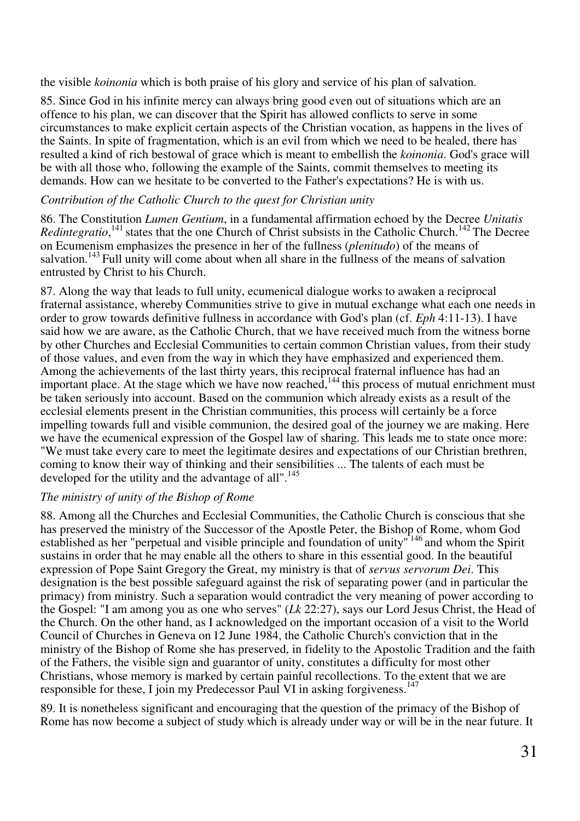the visible *koinonia* which is both praise of his glory and service of his plan of salvation.

85. Since God in his infinite mercy can always bring good even out of situations which are an offence to his plan, we can discover that the Spirit has allowed conflicts to serve in some circumstances to make explicit certain aspects of the Christian vocation, as happens in the lives of the Saints. In spite of fragmentation, which is an evil from which we need to be healed, there has resulted a kind of rich bestowal of grace which is meant to embellish the *koinonia*. God's grace will be with all those who, following the example of the Saints, commit themselves to meeting its demands. How can we hesitate to be converted to the Father's expectations? He is with us.

# *Contribution of the Catholic Church to the quest for Christian unity*

86. The Constitution *Lumen Gentium*, in a fundamental affirmation echoed by the Decree *Unitatis Redintegratio*,<sup>141</sup> states that the one Church of Christ subsists in the Catholic Church.<sup>142</sup> The Decree on Ecumenism emphasizes the presence in her of the fullness (*plenitudo*) of the means of salvation.<sup>143</sup> Full unity will come about when all share in the fullness of the means of salvation entrusted by Christ to his Church.

87. Along the way that leads to full unity, ecumenical dialogue works to awaken a reciprocal fraternal assistance, whereby Communities strive to give in mutual exchange what each one needs in order to grow towards definitive fullness in accordance with God's plan (cf. *Eph* 4:11-13). I have said how we are aware, as the Catholic Church, that we have received much from the witness borne by other Churches and Ecclesial Communities to certain common Christian values, from their study of those values, and even from the way in which they have emphasized and experienced them. Among the achievements of the last thirty years, this reciprocal fraternal influence has had an important place. At the stage which we have now reached,<sup>144</sup> this process of mutual enrichment must be taken seriously into account. Based on the communion which already exists as a result of the ecclesial elements present in the Christian communities, this process will certainly be a force impelling towards full and visible communion, the desired goal of the journey we are making. Here we have the ecumenical expression of the Gospel law of sharing. This leads me to state once more: "We must take every care to meet the legitimate desires and expectations of our Christian brethren, coming to know their way of thinking and their sensibilities ... The talents of each must be developed for the utility and the advantage of all".<sup>145</sup>

# *The ministry of unity of the Bishop of Rome*

88. Among all the Churches and Ecclesial Communities, the Catholic Church is conscious that she has preserved the ministry of the Successor of the Apostle Peter, the Bishop of Rome, whom God established as her "perpetual and visible principle and foundation of unity"<sup>146</sup> and whom the Spirit sustains in order that he may enable all the others to share in this essential good. In the beautiful expression of Pope Saint Gregory the Great, my ministry is that of *servus servorum Dei*. This designation is the best possible safeguard against the risk of separating power (and in particular the primacy) from ministry. Such a separation would contradict the very meaning of power according to the Gospel: "I am among you as one who serves" (*Lk* 22:27), says our Lord Jesus Christ, the Head of the Church. On the other hand, as I acknowledged on the important occasion of a visit to the World Council of Churches in Geneva on 12 June 1984, the Catholic Church's conviction that in the ministry of the Bishop of Rome she has preserved, in fidelity to the Apostolic Tradition and the faith of the Fathers, the visible sign and guarantor of unity, constitutes a difficulty for most other Christians, whose memory is marked by certain painful recollections. To the extent that we are responsible for these, I join my Predecessor Paul VI in asking forgiveness.<sup>147</sup>

89. It is nonetheless significant and encouraging that the question of the primacy of the Bishop of Rome has now become a subject of study which is already under way or will be in the near future. It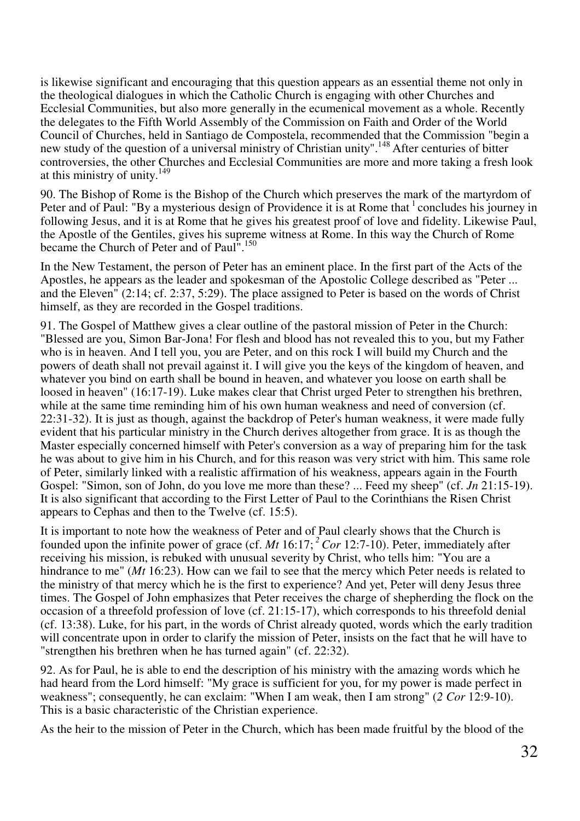is likewise significant and encouraging that this question appears as an essential theme not only in the theological dialogues in which the Catholic Church is engaging with other Churches and Ecclesial Communities, but also more generally in the ecumenical movement as a whole. Recently the delegates to the Fifth World Assembly of the Commission on Faith and Order of the World Council of Churches, held in Santiago de Compostela, recommended that the Commission "begin a new study of the question of a universal ministry of Christian unity".<sup>148</sup> After centuries of bitter controversies, the other Churches and Ecclesial Communities are more and more taking a fresh look at this ministry of unity.<sup>149</sup>

90. The Bishop of Rome is the Bishop of the Church which preserves the mark of the martyrdom of Peter and of Paul: "By a mysterious design of Providence it is at Rome that  $\frac{1}{1}$  concludes his journey in following Jesus, and it is at Rome that he gives his greatest proof of love and fidelity. Likewise Paul, the Apostle of the Gentiles, gives his supreme witness at Rome. In this way the Church of Rome became the Church of Peter and of Paul".<sup>150</sup>

In the New Testament, the person of Peter has an eminent place. In the first part of the Acts of the Apostles, he appears as the leader and spokesman of the Apostolic College described as "Peter ... and the Eleven" (2:14; cf. 2:37, 5:29). The place assigned to Peter is based on the words of Christ himself, as they are recorded in the Gospel traditions.

91. The Gospel of Matthew gives a clear outline of the pastoral mission of Peter in the Church: "Blessed are you, Simon Bar-Jona! For flesh and blood has not revealed this to you, but my Father who is in heaven. And I tell you, you are Peter, and on this rock I will build my Church and the powers of death shall not prevail against it. I will give you the keys of the kingdom of heaven, and whatever you bind on earth shall be bound in heaven, and whatever you loose on earth shall be loosed in heaven" (16:17-19). Luke makes clear that Christ urged Peter to strengthen his brethren, while at the same time reminding him of his own human weakness and need of conversion (cf. 22:31-32). It is just as though, against the backdrop of Peter's human weakness, it were made fully evident that his particular ministry in the Church derives altogether from grace. It is as though the Master especially concerned himself with Peter's conversion as a way of preparing him for the task he was about to give him in his Church, and for this reason was very strict with him. This same role of Peter, similarly linked with a realistic affirmation of his weakness, appears again in the Fourth Gospel: "Simon, son of John, do you love me more than these? ... Feed my sheep" (cf. *Jn* 21:15-19). It is also significant that according to the First Letter of Paul to the Corinthians the Risen Christ appears to Cephas and then to the Twelve (cf. 15:5).

It is important to note how the weakness of Peter and of Paul clearly shows that the Church is founded upon the infinite power of grace (cf. *Mt* 16:17;  $^2$  *Cor* 12:7-10). Peter, immediately after receiving his mission, is rebuked with unusual severity by Christ, who tells him: "You are a hindrance to me" (*Mt* 16:23). How can we fail to see that the mercy which Peter needs is related to the ministry of that mercy which he is the first to experience? And yet, Peter will deny Jesus three times. The Gospel of John emphasizes that Peter receives the charge of shepherding the flock on the occasion of a threefold profession of love (cf. 21:15-17), which corresponds to his threefold denial (cf. 13:38). Luke, for his part, in the words of Christ already quoted, words which the early tradition will concentrate upon in order to clarify the mission of Peter, insists on the fact that he will have to "strengthen his brethren when he has turned again" (cf. 22:32).

92. As for Paul, he is able to end the description of his ministry with the amazing words which he had heard from the Lord himself: "My grace is sufficient for you, for my power is made perfect in weakness"; consequently, he can exclaim: "When I am weak, then I am strong" (*2 Cor* 12:9-10). This is a basic characteristic of the Christian experience.

As the heir to the mission of Peter in the Church, which has been made fruitful by the blood of the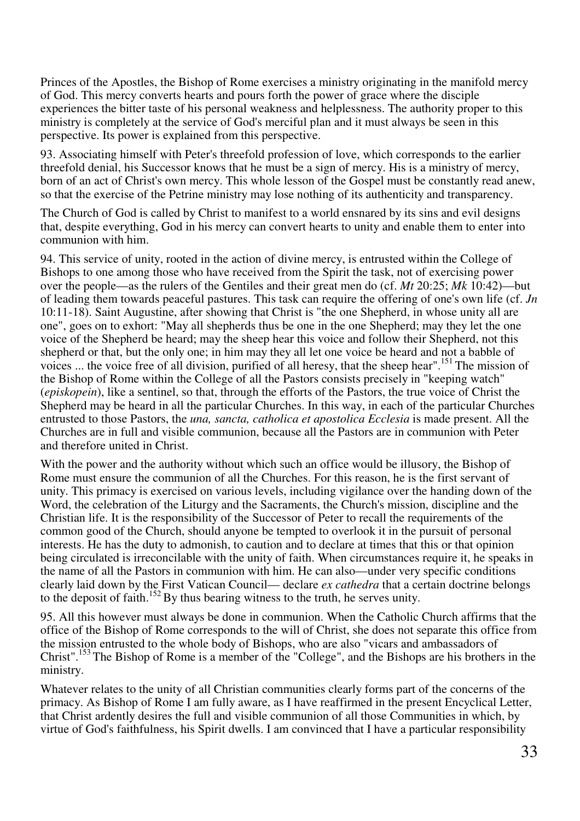Princes of the Apostles, the Bishop of Rome exercises a ministry originating in the manifold mercy of God. This mercy converts hearts and pours forth the power of grace where the disciple experiences the bitter taste of his personal weakness and helplessness. The authority proper to this ministry is completely at the service of God's merciful plan and it must always be seen in this perspective. Its power is explained from this perspective.

93. Associating himself with Peter's threefold profession of love, which corresponds to the earlier threefold denial, his Successor knows that he must be a sign of mercy. His is a ministry of mercy, born of an act of Christ's own mercy. This whole lesson of the Gospel must be constantly read anew, so that the exercise of the Petrine ministry may lose nothing of its authenticity and transparency.

The Church of God is called by Christ to manifest to a world ensnared by its sins and evil designs that, despite everything, God in his mercy can convert hearts to unity and enable them to enter into communion with him.

94. This service of unity, rooted in the action of divine mercy, is entrusted within the College of Bishops to one among those who have received from the Spirit the task, not of exercising power over the people—as the rulers of the Gentiles and their great men do (cf. *Mt* 20:25; *Mk* 10:42)—but of leading them towards peaceful pastures. This task can require the offering of one's own life (cf. *Jn* 10:11-18). Saint Augustine, after showing that Christ is "the one Shepherd, in whose unity all are one", goes on to exhort: "May all shepherds thus be one in the one Shepherd; may they let the one voice of the Shepherd be heard; may the sheep hear this voice and follow their Shepherd, not this shepherd or that, but the only one; in him may they all let one voice be heard and not a babble of voices ... the voice free of all division, purified of all heresy, that the sheep hear".<sup>151</sup>The mission of the Bishop of Rome within the College of all the Pastors consists precisely in "keeping watch" (*episkopein*), like a sentinel, so that, through the efforts of the Pastors, the true voice of Christ the Shepherd may be heard in all the particular Churches. In this way, in each of the particular Churches entrusted to those Pastors, the *una, sancta, catholica et apostolica Ecclesia* is made present. All the Churches are in full and visible communion, because all the Pastors are in communion with Peter and therefore united in Christ.

With the power and the authority without which such an office would be illusory, the Bishop of Rome must ensure the communion of all the Churches. For this reason, he is the first servant of unity. This primacy is exercised on various levels, including vigilance over the handing down of the Word, the celebration of the Liturgy and the Sacraments, the Church's mission, discipline and the Christian life. It is the responsibility of the Successor of Peter to recall the requirements of the common good of the Church, should anyone be tempted to overlook it in the pursuit of personal interests. He has the duty to admonish, to caution and to declare at times that this or that opinion being circulated is irreconcilable with the unity of faith. When circumstances require it, he speaks in the name of all the Pastors in communion with him. He can also—under very specific conditions clearly laid down by the First Vatican Council— declare *ex cathedra* that a certain doctrine belongs to the deposit of faith.<sup>152</sup>By thus bearing witness to the truth, he serves unity.

95. All this however must always be done in communion. When the Catholic Church affirms that the office of the Bishop of Rome corresponds to the will of Christ, she does not separate this office from the mission entrusted to the whole body of Bishops, who are also "vicars and ambassadors of Christ".<sup>153</sup>The Bishop of Rome is a member of the "College", and the Bishops are his brothers in the ministry.

Whatever relates to the unity of all Christian communities clearly forms part of the concerns of the primacy. As Bishop of Rome I am fully aware, as I have reaffirmed in the present Encyclical Letter, that Christ ardently desires the full and visible communion of all those Communities in which, by virtue of God's faithfulness, his Spirit dwells. I am convinced that I have a particular responsibility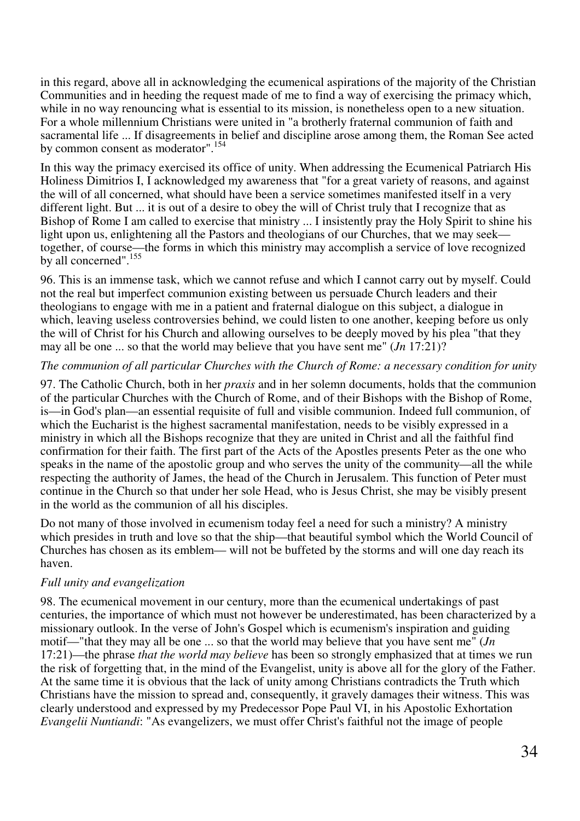in this regard, above all in acknowledging the ecumenical aspirations of the majority of the Christian Communities and in heeding the request made of me to find a way of exercising the primacy which, while in no way renouncing what is essential to its mission, is nonetheless open to a new situation. For a whole millennium Christians were united in "a brotherly fraternal communion of faith and sacramental life ... If disagreements in belief and discipline arose among them, the Roman See acted by common consent as moderator".<sup>154</sup>

In this way the primacy exercised its office of unity. When addressing the Ecumenical Patriarch His Holiness Dimitrios I, I acknowledged my awareness that "for a great variety of reasons, and against the will of all concerned, what should have been a service sometimes manifested itself in a very different light. But ... it is out of a desire to obey the will of Christ truly that I recognize that as Bishop of Rome I am called to exercise that ministry ... I insistently pray the Holy Spirit to shine his light upon us, enlightening all the Pastors and theologians of our Churches, that we may seek together, of course—the forms in which this ministry may accomplish a service of love recognized by all concerned".<sup>155</sup>

96. This is an immense task, which we cannot refuse and which I cannot carry out by myself. Could not the real but imperfect communion existing between us persuade Church leaders and their theologians to engage with me in a patient and fraternal dialogue on this subject, a dialogue in which, leaving useless controversies behind, we could listen to one another, keeping before us only the will of Christ for his Church and allowing ourselves to be deeply moved by his plea "that they may all be one ... so that the world may believe that you have sent me" (*Jn* 17:21)?

# *The communion of all particular Churches with the Church of Rome: a necessary condition for unity*

97. The Catholic Church, both in her *praxis* and in her solemn documents, holds that the communion of the particular Churches with the Church of Rome, and of their Bishops with the Bishop of Rome, is—in God's plan—an essential requisite of full and visible communion. Indeed full communion, of which the Eucharist is the highest sacramental manifestation, needs to be visibly expressed in a ministry in which all the Bishops recognize that they are united in Christ and all the faithful find confirmation for their faith. The first part of the Acts of the Apostles presents Peter as the one who speaks in the name of the apostolic group and who serves the unity of the community—all the while respecting the authority of James, the head of the Church in Jerusalem. This function of Peter must continue in the Church so that under her sole Head, who is Jesus Christ, she may be visibly present in the world as the communion of all his disciples.

Do not many of those involved in ecumenism today feel a need for such a ministry? A ministry which presides in truth and love so that the ship—that beautiful symbol which the World Council of Churches has chosen as its emblem— will not be buffeted by the storms and will one day reach its haven.

# *Full unity and evangelization*

98. The ecumenical movement in our century, more than the ecumenical undertakings of past centuries, the importance of which must not however be underestimated, has been characterized by a missionary outlook. In the verse of John's Gospel which is ecumenism's inspiration and guiding motif—"that they may all be one ... so that the world may believe that you have sent me" (*Jn* 17:21)—the phrase *that the world may believe* has been so strongly emphasized that at times we run the risk of forgetting that, in the mind of the Evangelist, unity is above all for the glory of the Father. At the same time it is obvious that the lack of unity among Christians contradicts the Truth which Christians have the mission to spread and, consequently, it gravely damages their witness. This was clearly understood and expressed by my Predecessor Pope Paul VI, in his Apostolic Exhortation *Evangelii Nuntiandi*: "As evangelizers, we must offer Christ's faithful not the image of people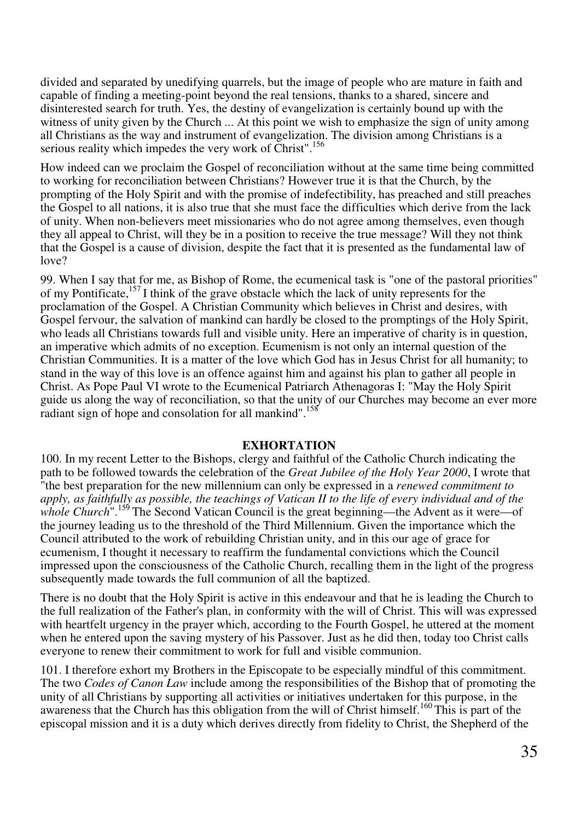divided and separated by unedifying quarrels, but the image of people who are mature in faith and capable of finding a meeting-point beyond the real tensions, thanks to a shared, sincere and disinterested search for truth. Yes, the destiny of evangelization is certainly bound up with the witness of unity given by the Church ... At this point we wish to emphasize the sign of unity among all Christians as the way and instrument of evangelization. The division among Christians is a serious reality which impedes the very work of Christ".<sup>156</sup>

How indeed can we proclaim the Gospel of reconciliation without at the same time being committed to working for reconciliation between Christians? However true it is that the Church, by the prompting of the Holy Spirit and with the promise of indefectibility, has preached and still preaches the Gospel to all nations, it is also true that she must face the difficulties which derive from the lack of unity. When non-believers meet missionaries who do not agree among themselves, even though they all appeal to Christ, will they be in a position to receive the true message? Will they not think that the Gospel is a cause of division, despite the fact that it is presented as the fundamental law of love?

99. When I say that for me, as Bishop of Rome, the ecumenical task is "one of the pastoral priorities" of my Pontificate,<sup>157</sup>I think of the grave obstacle which the lack of unity represents for the proclamation of the Gospel. A Christian Community which believes in Christ and desires, with Gospel fervour, the salvation of mankind can hardly be closed to the promptings of the Holy Spirit, who leads all Christians towards full and visible unity. Here an imperative of charity is in question, an imperative which admits of no exception. Ecumenism is not only an internal question of the Christian Communities. It is a matter of the love which God has in Jesus Christ for all humanity; to stand in the way of this love is an offence against him and against his plan to gather all people in Christ. As Pope Paul VI wrote to the Ecumenical Patriarch Athenagoras I: "May the Holy Spirit guide us along the way of reconciliation, so that the unity of our Churches may become an ever more radiant sign of hope and consolation for all mankind".<sup>158</sup>

#### **EXHORTATION**

100. In my recent Letter to the Bishops, clergy and faithful of the Catholic Church indicating the path to be followed towards the celebration of the *Great Jubilee of the Holy Year 2000*, I wrote that "the best preparation for the new millennium can only be expressed in a *renewed commitment to apply, as faithfully as possible, the teachings of Vatican II to the life of every individual and of the whole Church*".<sup>159</sup>The Second Vatican Council is the great beginning—the Advent as it were—of the journey leading us to the threshold of the Third Millennium. Given the importance which the Council attributed to the work of rebuilding Christian unity, and in this our age of grace for ecumenism, I thought it necessary to reaffirm the fundamental convictions which the Council impressed upon the consciousness of the Catholic Church, recalling them in the light of the progress subsequently made towards the full communion of all the baptized.

There is no doubt that the Holy Spirit is active in this endeavour and that he is leading the Church to the full realization of the Father's plan, in conformity with the will of Christ. This will was expressed with heartfelt urgency in the prayer which, according to the Fourth Gospel, he uttered at the moment when he entered upon the saving mystery of his Passover. Just as he did then, today too Christ calls everyone to renew their commitment to work for full and visible communion.

101. I therefore exhort my Brothers in the Episcopate to be especially mindful of this commitment. The two *Codes of Canon Law* include among the responsibilities of the Bishop that of promoting the unity of all Christians by supporting all activities or initiatives undertaken for this purpose, in the awareness that the Church has this obligation from the will of Christ himself.<sup>160</sup> This is part of the episcopal mission and it is a duty which derives directly from fidelity to Christ, the Shepherd of the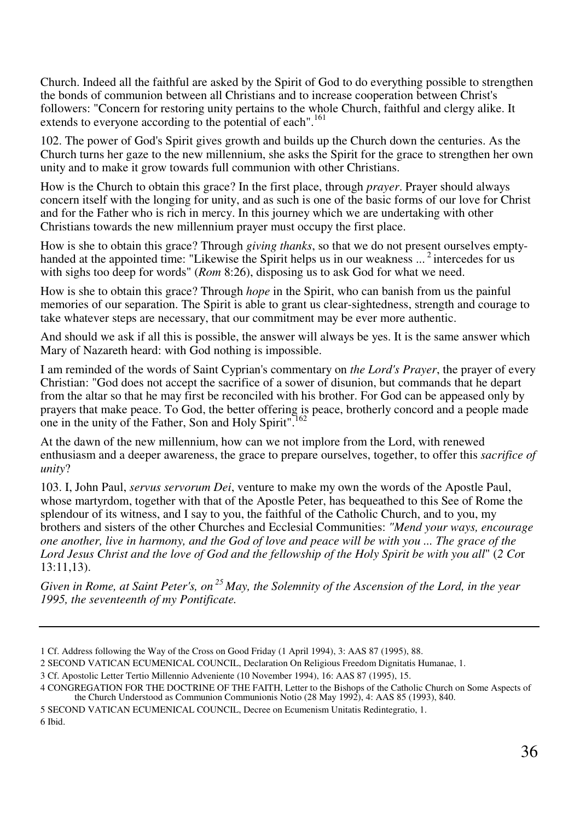Church. Indeed all the faithful are asked by the Spirit of God to do everything possible to strengthen the bonds of communion between all Christians and to increase cooperation between Christ's followers: "Concern for restoring unity pertains to the whole Church, faithful and clergy alike. It extends to everyone according to the potential of each".<sup>161</sup>

102. The power of God's Spirit gives growth and builds up the Church down the centuries. As the Church turns her gaze to the new millennium, she asks the Spirit for the grace to strengthen her own unity and to make it grow towards full communion with other Christians.

How is the Church to obtain this grace? In the first place, through *prayer*. Prayer should always concern itself with the longing for unity, and as such is one of the basic forms of our love for Christ and for the Father who is rich in mercy. In this journey which we are undertaking with other Christians towards the new millennium prayer must occupy the first place.

How is she to obtain this grace? Through *giving thanks*, so that we do not present ourselves emptyhanded at the appointed time: "Likewise the Spirit helps us in our weakness  $\ldots$ <sup>2</sup> intercedes for us with sighs too deep for words" (*Rom* 8:26), disposing us to ask God for what we need.

How is she to obtain this grace? Through *hope* in the Spirit, who can banish from us the painful memories of our separation. The Spirit is able to grant us clear-sightedness, strength and courage to take whatever steps are necessary, that our commitment may be ever more authentic.

And should we ask if all this is possible, the answer will always be yes. It is the same answer which Mary of Nazareth heard: with God nothing is impossible.

I am reminded of the words of Saint Cyprian's commentary on *the Lord's Prayer*, the prayer of every Christian: "God does not accept the sacrifice of a sower of disunion, but commands that he depart from the altar so that he may first be reconciled with his brother. For God can be appeased only by prayers that make peace. To God, the better offering is peace, brotherly concord and a people made one in the unity of the Father, Son and Holy Spirit".<sup>162</sup>

At the dawn of the new millennium, how can we not implore from the Lord, with renewed enthusiasm and a deeper awareness, the grace to prepare ourselves, together, to offer this *sacrifice of unity*?

103. I, John Paul, *servus servorum Dei*, venture to make my own the words of the Apostle Paul, whose martyrdom, together with that of the Apostle Peter, has bequeathed to this See of Rome the splendour of its witness, and I say to you, the faithful of the Catholic Church, and to you, my brothers and sisters of the other Churches and Ecclesial Communities: *"Mend your ways, encourage one another, live in harmony, and the God of love and peace will be with you ... The grace of the Lord Jesus Christ and the love of God and the fellowship of the Holy Spirit be with you all*" (*2 Co*r 13:11,13).

*Given in Rome, at Saint Peter's, on<sup>25</sup>May, the Solemnity of the Ascension of the Lord, in the year 1995, the seventeenth of my Pontificate.* 

2 SECOND VATICAN ECUMENICAL COUNCIL, Declaration On Religious Freedom Dignitatis Humanae, 1.

<sup>1</sup> Cf. Address following the Way of the Cross on Good Friday (1 April 1994), 3: AAS 87 (1995), 88.

<sup>3</sup> Cf. Apostolic Letter Tertio Millennio Adveniente (10 November 1994), 16: AAS 87 (1995), 15.

<sup>4</sup> CONGREGATION FOR THE DOCTRINE OF THE FAITH, Letter to the Bishops of the Catholic Church on Some Aspects of the Church Understood as Communion Communionis Notio (28 May 1992), 4: AAS 85 (1993), 840.

<sup>5</sup> SECOND VATICAN ECUMENICAL COUNCIL, Decree on Ecumenism Unitatis Redintegratio, 1. 6 Ibid.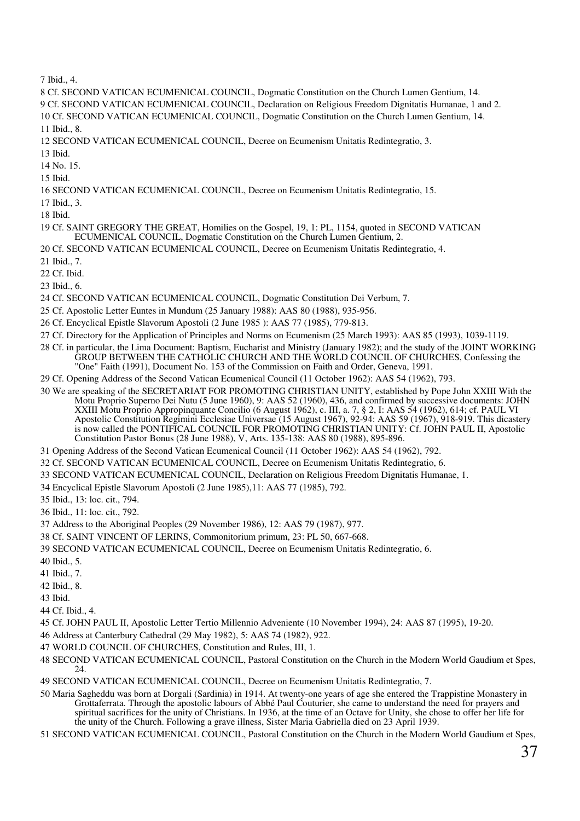7 Ibid., 4.

- 8 Cf. SECOND VATICAN ECUMENICAL COUNCIL, Dogmatic Constitution on the Church Lumen Gentium, 14. 9 Cf. SECOND VATICAN ECUMENICAL COUNCIL, Declaration on Religious Freedom Dignitatis Humanae, 1 and 2.
- 10 Cf. SECOND VATICAN ECUMENICAL COUNCIL, Dogmatic Constitution on the Church Lumen Gentium, 14. 11 Ibid., 8.
- 12 SECOND VATICAN ECUMENICAL COUNCIL, Decree on Ecumenism Unitatis Redintegratio, 3.
- 13 Ibid.
- 14 No. 15.
- 15 Ibid.
- 16 SECOND VATICAN ECUMENICAL COUNCIL, Decree on Ecumenism Unitatis Redintegratio, 15.
- 17 Ibid., 3.
- 18 Ibid.
- 19 Cf. SAINT GREGORY THE GREAT, Homilies on the Gospel, 19, 1: PL, 1154, quoted in SECOND VATICAN ECUMENICAL COUNCIL, Dogmatic Constitution on the Church Lumen Gentium, 2.
- 20 Cf. SECOND VATICAN ECUMENICAL COUNCIL, Decree on Ecumenism Unitatis Redintegratio, 4.
- 21 Ibid., 7.
- 22 Cf. Ibid.
- 23 Ibid., 6.
- 24 Cf. SECOND VATICAN ECUMENICAL COUNCIL, Dogmatic Constitution Dei Verbum, 7.
- 25 Cf. Apostolic Letter Euntes in Mundum (25 January 1988): AAS 80 (1988), 935-956.
- 26 Cf. Encyclical Epistle Slavorum Apostoli (2 June 1985 ): AAS 77 (1985), 779-813.
- 27 Cf. Directory for the Application of Principles and Norms on Ecumenism (25 March 1993): AAS 85 (1993), 1039-1119.
- 28 Cf. in particular, the Lima Document: Baptism, Eucharist and Ministry (January 1982); and the study of the JOINT WORKING GROUP BETWEEN THE CATHOLIC CHURCH AND THE WORLD COUNCIL OF CHURCHES, Confessing the "One" Faith (1991), Document No. 153 of the Commission on Faith and Order, Geneva, 1991.
- 29 Cf. Opening Address of the Second Vatican Ecumenical Council (11 October 1962): AAS 54 (1962), 793.
- 30 We are speaking of the SECRETARIAT FOR PROMOTING CHRISTIAN UNITY, established by Pope John XXIII With the Motu Proprio Superno Dei Nutu (5 June 1960), 9: AAS 52 (1960), 436, and confirmed by successive documents: JOHN XXIII Motu Proprio Appropinquante Concilio (6 August 1962), c. III, a. 7, § 2, I: AAS 54 (1962), 614; cf. PAUL VI Apostolic Constitution Regimini Ecclesiae Universae (15 August 1967), 92-94: AAS 59 (1967), 918-919. This dicastery is now called the PONTIFICAL COUNCIL FOR PROMOTING CHRISTIAN UNITY: Cf. JOHN PAUL II, Apostolic Constitution Pastor Bonus (28 June 1988), V, Arts. 135-138: AAS 80 (1988), 895-896.
- 31 Opening Address of the Second Vatican Ecumenical Council (11 October 1962): AAS 54 (1962), 792.
- 32 Cf. SECOND VATICAN ECUMENICAL COUNCIL, Decree on Ecumenism Unitatis Redintegratio, 6.
- 33 SECOND VATICAN ECUMENICAL COUNCIL, Declaration on Religious Freedom Dignitatis Humanae, 1.
- 34 Encyclical Epistle Slavorum Apostoli (2 June 1985),11: AAS 77 (1985), 792.
- 35 Ibid., 13: loc. cit., 794.
- 36 Ibid., 11: loc. cit., 792.
- 37 Address to the Aboriginal Peoples (29 November 1986), 12: AAS 79 (1987), 977.
- 38 Cf. SAINT VINCENT OF LERINS, Commonitorium primum, 23: PL 50, 667-668.
- 39 SECOND VATICAN ECUMENICAL COUNCIL, Decree on Ecumenism Unitatis Redintegratio, 6.
- 40 Ibid., 5.
- 41 Ibid., 7.
- 42 Ibid., 8.
- 43 Ibid.
- 44 Cf. Ibid., 4.
- 45 Cf. JOHN PAUL II, Apostolic Letter Tertio Millennio Adveniente (10 November 1994), 24: AAS 87 (1995), 19-20.
- 46 Address at Canterbury Cathedral (29 May 1982), 5: AAS 74 (1982), 922.
- 47 WORLD COUNCIL OF CHURCHES, Constitution and Rules, III, 1.
- 48 SECOND VATICAN ECUMENICAL COUNCIL, Pastoral Constitution on the Church in the Modern World Gaudium et Spes, 24.
- 49 SECOND VATICAN ECUMENICAL COUNCIL, Decree on Ecumenism Unitatis Redintegratio, 7.
- 50 Maria Sagheddu was born at Dorgali (Sardinia) in 1914. At twenty-one years of age she entered the Trappistine Monastery in Grottaferrata. Through the apostolic labours of Abbé Paul Couturier, she came to understand the need for prayers and spiritual sacrifices for the unity of Christians. In 1936, at the time of an Octave for Unity, she chose to offer her life for the unity of the Church. Following a grave illness, Sister Maria Gabriella died on 23 April 1939.
- 51 SECOND VATICAN ECUMENICAL COUNCIL, Pastoral Constitution on the Church in the Modern World Gaudium et Spes,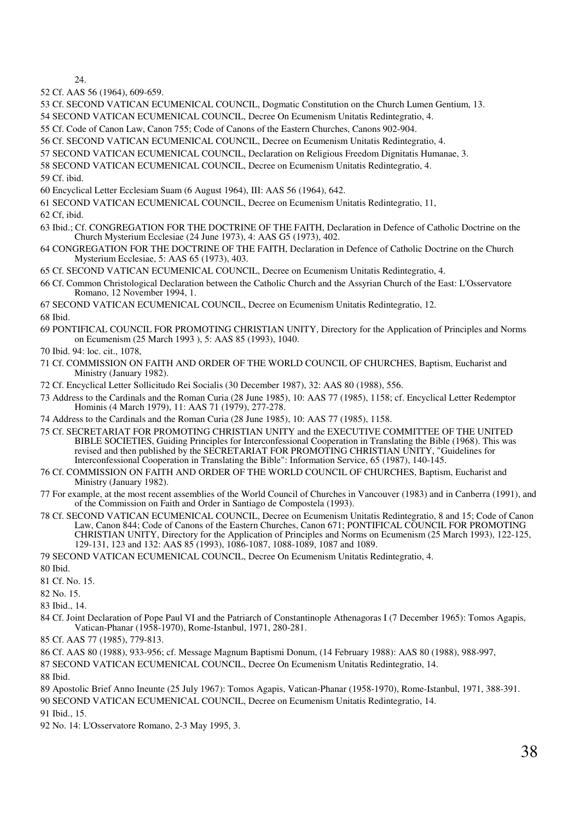24.

52 Cf. AAS 56 (1964), 609-659.

- 53 Cf. SECOND VATICAN ECUMENICAL COUNCIL, Dogmatic Constitution on the Church Lumen Gentium, 13.
- 54 SECOND VATICAN ECUMENICAL COUNCIL, Decree On Ecumenism Unitatis Redintegratio, 4.
- 55 Cf. Code of Canon Law, Canon 755; Code of Canons of the Eastern Churches, Canons 902-904.
- 56 Cf. SECOND VATICAN ECUMENICAL COUNCIL, Decree on Ecumenism Unitatis Redintegratio, 4.
- 57 SECOND VATICAN ECUMENICAL COUNCIL, Declaration on Religious Freedom Dignitatis Humanae, 3.
- 58 SECOND VATICAN ECUMENICAL COUNCIL, Decree on Ecumenism Unitatis Redintegratio, 4.
- 59 Cf. ibid.
- 60 Encyclical Letter Ecclesiam Suam (6 August 1964), III: AAS 56 (1964), 642.
- 61 SECOND VATICAN ECUMENICAL COUNCIL, Decree on Ecumenism Unitatis Redintegratio, 11,
- 62 Cf, ibid.
- 63 Ibid.; Cf. CONGREGATION FOR THE DOCTRINE OF THE FAITH, Declaration in Defence of Catholic Doctrine on the Church Mysterium Ecclesiae (24 June 1973), 4: AAS G5 (1973), 402.
- 64 CONGREGATION FOR THE DOCTRINE OF THE FAITH, Declaration in Defence of Catholic Doctrine on the Church Mysterium Ecclesiae, 5: AAS 65 (1973), 403.
- 65 Cf. SECOND VATICAN ECUMENICAL COUNCIL, Decree on Ecumenism Unitatis Redintegratio, 4.
- 66 Cf. Common Christological Declaration between the Catholic Church and the Assyrian Church of the East: L'Osservatore Romano, 12 November 1994, 1.
- 67 SECOND VATICAN ECUMENICAL COUNCIL, Decree on Ecumenism Unitatis Redintegratio, 12.
- 68 Ibid.
- 69 PONTIFICAL COUNCIL FOR PROMOTING CHRISTIAN UNITY, Directory for the Application of Principles and Norms on Ecumenism (25 March 1993 ), 5: AAS 85 (1993), 1040.
- 70 Ibid. 94: loc. cit., 1078,
- 71 Cf. COMMISSION ON FAITH AND ORDER OF THE WORLD COUNCIL OF CHURCHES, Baptism, Eucharist and Ministry (January 1982).
- 72 Cf. Encyclical Letter Sollicitudo Rei Socialis (30 December 1987), 32: AAS 80 (1988), 556.
- 73 Address to the Cardinals and the Roman Curia (28 June 1985), 10: AAS 77 (1985), 1158; cf. Encyclical Letter Redemptor Hominis (4 March 1979), 11: AAS 71 (1979), 277-278.
- 74 Address to the Cardinals and the Roman Curia (28 June 1985), 10: AAS 77 (1985), 1158.
- 75 Cf. SECRETARIAT FOR PROMOTING CHRISTIAN UNITY and the EXECUTIVE COMMITTEE OF THE UNITED BIBLE SOCIETIES, Guiding Principles for Interconfessional Cooperation in Translating the Bible (1968). This was revised and then published by the SECRETARIAT FOR PROMOTING CHRISTIAN UNITY, "Guidelines for Interconfessional Cooperation in Translating the Bible": Information Service, 65 (1987), 140-145.
- 76 Cf. COMMISSION ON FAITH AND ORDER OF THE WORLD COUNCIL OF CHURCHES, Baptism, Eucharist and Ministry (January 1982).
- 77 For example, at the most recent assemblies of the World Council of Churches in Vancouver (1983) and in Canberra (1991), and of the Commission on Faith and Order in Santiago de Compostela (1993).
- 78 Cf. SECOND VATICAN ECUMENICAL COUNCIL, Decree on Ecumenism Unitatis Redintegratio, 8 and 15; Code of Canon Law, Canon 844; Code of Canons of the Eastern Churches, Canon 671; PONTIFICAL COUNCIL FOR PROMOTING CHRISTIAN UNITY, Directory for the Application of Principles and Norms on Ecumenism (25 March 1993), 122-125, 129-131, 123 and 132: AAS 85 (1993), 1086-1087, 1088-1089, 1087 and 1089.
- 79 SECOND VATICAN ECUMENICAL COUNCIL, Decree On Ecumenism Unitatis Redintegratio, 4.
- 80 Ibid.
- 81 Cf. No. 15.
- 82 No. 15.
- 83 Ibid., 14.
- 84 Cf. Joint Declaration of Pope Paul VI and the Patriarch of Constantinople Athenagoras I (7 December 1965): Tomos Agapis, Vatican-Phanar (1958-1970), Rome-Istanbul, 1971, 280-281.
- 85 Cf. AAS 77 (1985), 779-813.
- 86 Cf. AAS 80 (1988), 933-956; cf. Message Magnum Baptismi Donum, (14 February 1988): AAS 80 (1988), 988-997,
- 87 SECOND VATICAN ECUMENICAL COUNCIL, Decree On Ecumenism Unitatis Redintegratio, 14.
- 88 Ibid.
- 89 Apostolic Brief Anno Ineunte (25 July 1967): Tomos Agapis, Vatican-Phanar (1958-1970), Rome-Istanbul, 1971, 388-391. 90 SECOND VATICAN ECUMENICAL COUNCIL, Decree on Ecumenism Unitatis Redintegratio, 14.
- 
- 91 Ibid., 15.
- 92 No. 14: L'Osservatore Romano, 2-3 May 1995, 3.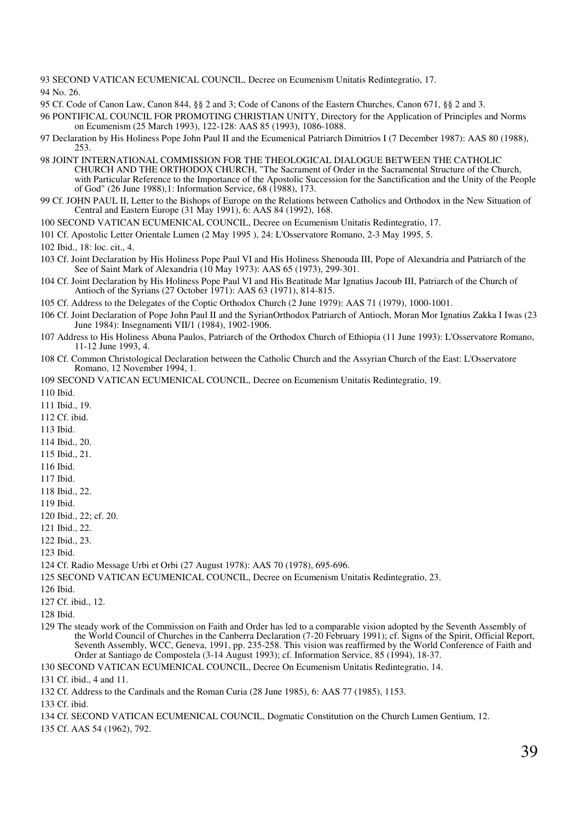93 SECOND VATICAN ECUMENICAL COUNCIL, Decree on Ecumenism Unitatis Redintegratio, 17.

94 No. 26.

- 95 Cf. Code of Canon Law, Canon 844, §§ 2 and 3; Code of Canons of the Eastern Churches, Canon 671, §§ 2 and 3.
- 96 PONTIFICAL COUNCIL FOR PROMOTING CHRISTIAN UNITY, Directory for the Application of Principles and Norms on Ecumenism (25 March 1993), 122-128: AAS 85 (1993), 1086-1088.
- 97 Declaration by His Holiness Pope John Paul II and the Ecumenical Patriarch Dimitrios I (7 December 1987): AAS 80 (1988), 253.
- 98 JOINT INTERNATIONAL COMMISSION FOR THE THEOLOGICAL DIALOGUE BETWEEN THE CATHOLIC CHURCH AND THE ORTHODOX CHURCH, "The Sacrament of Order in the Sacramental Structure of the Church, with Particular Reference to the Importance of the Apostolic Succession for the Sanctification and the Unity of the People of God" (26 June 1988),1: Information Service, 68 (1988), 173.
- 99 Cf. JOHN PAUL II, Letter to the Bishops of Europe on the Relations between Catholics and Orthodox in the New Situation of Central and Eastern Europe (31 May 1991), 6: AAS 84 (1992), 168.
- 100 SECOND VATICAN ECUMENICAL COUNCIL, Decree on Ecumenism Unitatis Redintegratio, 17.
- 101 Cf. Apostolic Letter Orientale Lumen (2 May 1995 ), 24: L'Osservatore Romano, 2-3 May 1995, 5.

102 Ibid., 18: loc. cit., 4.

- 103 Cf. Joint Declaration by His Holiness Pope Paul VI and His Holiness Shenouda III, Pope of Alexandria and Patriarch of the See of Saint Mark of Alexandria (10 May 1973): AAS 65 (1973), 299-301.
- 104 Cf. Joint Declaration by His Holiness Pope Paul VI and His Beatitude Mar Ignatius Jacoub III, Patriarch of the Church of Antioch of the Syrians (27 October 1971): AAS 63 (1971), 814-815.
- 105 Cf. Address to the Delegates of the Coptic Orthodox Church (2 June 1979): AAS 71 (1979), 1000-1001.
- 106 Cf. Joint Declaration of Pope John Paul II and the SyrianOrthodox Patriarch of Antioch, Moran Mor Ignatius Zakka I Iwas (23 June 1984): Insegnamenti VII/1 (1984), 1902-1906.
- 107 Address to His Holiness Abuna Paulos, Patriarch of the Orthodox Church of Ethiopia (11 June 1993): L'Osservatore Romano, 11-12 June 1993, 4.
- 108 Cf. Common Christological Declaration between the Catholic Church and the Assyrian Church of the East: L'Osservatore Romano, 12 November 1994, 1.

109 SECOND VATICAN ECUMENICAL COUNCIL, Decree on Ecumenism Unitatis Redintegratio, 19.

- 110 Ibid.
- 111 Ibid., 19.
- 112 Cf. ibid.
- 113 Ibid.
- 114 Ibid., 20.
- 115 Ibid., 21.
- 116 Ibid.
- 117 Ibid.
- 118 Ibid., 22.
- 119 Ibid.
- 120 Ibid., 22; cf. 20.
- 121 Ibid., 22.
- 122 Ibid., 23.
- 123 Ibid.
- 124 Cf. Radio Message Urbi et Orbi (27 August 1978): AAS 70 (1978), 695-696.
- 125 SECOND VATICAN ECUMENICAL COUNCIL, Decree on Ecumenism Unitatis Redintegratio, 23.
- 126 Ibid.
- 127 Cf. ibid., 12.
- 128 Ibid.
- 129 The steady work of the Commission on Faith and Order has led to a comparable vision adopted by the Seventh Assembly of the World Council of Churches in the Canberra Declaration (7-20 February 1991); cf. Signs of the Spirit, Official Report, Seventh Assembly, WCC, Geneva, 1991, pp. 235-258. This vision was reaffirmed by the World Conference of Faith and Order at Santiago de Compostela (3-14 August 1993); cf. Information Service, 85 (1994), 18-37.
- 130 SECOND VATICAN ECUMENICAL COUNCIL, Decree On Ecumenism Unitatis Redintegratio, 14.

131 Cf. ibid., 4 and 11.

- 132 Cf. Address to the Cardinals and the Roman Curia (28 June 1985), 6: AAS 77 (1985), 1153.
- 133 Cf. ibid.
- 134 Cf. SECOND VATICAN ECUMENICAL COUNCIL, Dogmatic Constitution on the Church Lumen Gentium, 12.
- 135 Cf. AAS 54 (1962), 792.